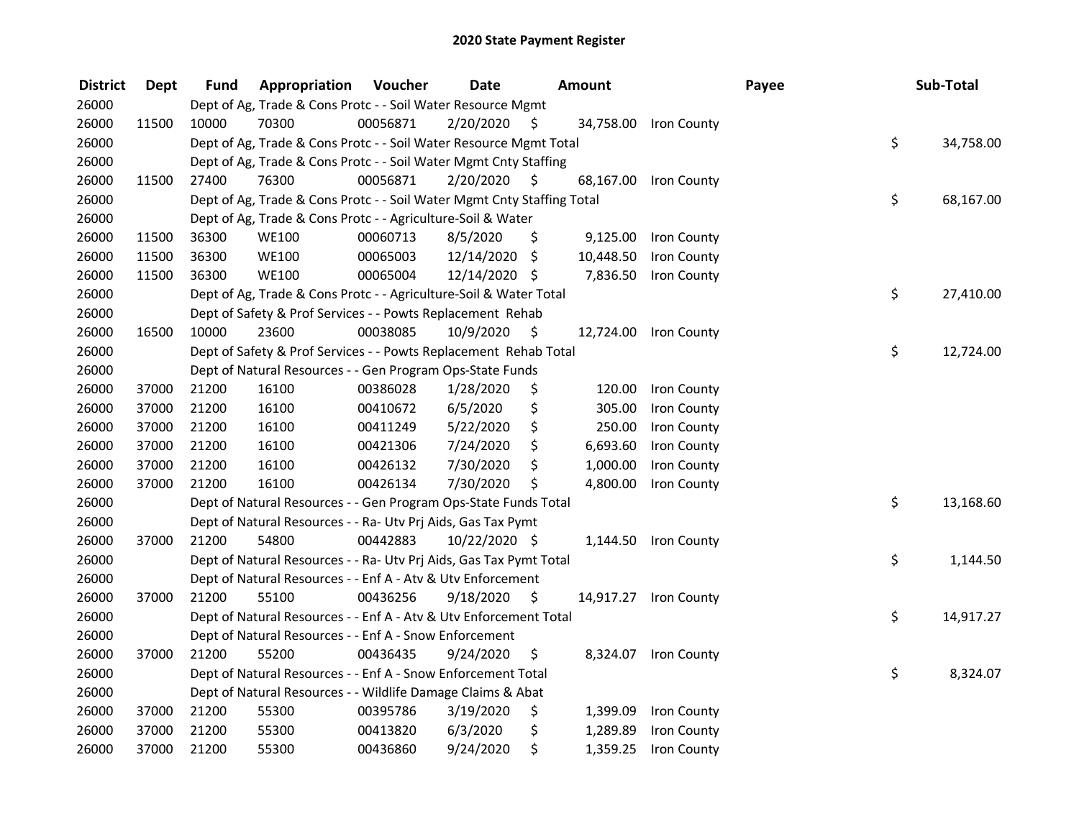| <b>District</b> | <b>Dept</b> | Fund  | Appropriation                                                          | Voucher  | <b>Date</b>   |     | Amount    |                       | Payee | Sub-Total       |
|-----------------|-------------|-------|------------------------------------------------------------------------|----------|---------------|-----|-----------|-----------------------|-------|-----------------|
| 26000           |             |       | Dept of Ag, Trade & Cons Protc - - Soil Water Resource Mgmt            |          |               |     |           |                       |       |                 |
| 26000           | 11500       | 10000 | 70300                                                                  | 00056871 | 2/20/2020     | \$. |           | 34,758.00 Iron County |       |                 |
| 26000           |             |       | Dept of Ag, Trade & Cons Protc - - Soil Water Resource Mgmt Total      |          |               |     |           |                       |       | \$<br>34,758.00 |
| 26000           |             |       | Dept of Ag, Trade & Cons Protc - - Soil Water Mgmt Cnty Staffing       |          |               |     |           |                       |       |                 |
| 26000           | 11500       | 27400 | 76300                                                                  | 00056871 | 2/20/2020     | S.  |           | 68,167.00 Iron County |       |                 |
| 26000           |             |       | Dept of Ag, Trade & Cons Protc - - Soil Water Mgmt Cnty Staffing Total |          |               |     |           |                       |       | \$<br>68,167.00 |
| 26000           |             |       | Dept of Ag, Trade & Cons Protc - - Agriculture-Soil & Water            |          |               |     |           |                       |       |                 |
| 26000           | 11500       | 36300 | WE100                                                                  | 00060713 | 8/5/2020      | \$  | 9,125.00  | <b>Iron County</b>    |       |                 |
| 26000           | 11500       | 36300 | <b>WE100</b>                                                           | 00065003 | 12/14/2020    | \$  | 10,448.50 | Iron County           |       |                 |
| 26000           | 11500       | 36300 | <b>WE100</b>                                                           | 00065004 | 12/14/2020 \$ |     | 7,836.50  | Iron County           |       |                 |
| 26000           |             |       | Dept of Ag, Trade & Cons Protc - - Agriculture-Soil & Water Total      |          |               |     |           |                       |       | \$<br>27,410.00 |
| 26000           |             |       | Dept of Safety & Prof Services - - Powts Replacement Rehab             |          |               |     |           |                       |       |                 |
| 26000           | 16500       | 10000 | 23600                                                                  | 00038085 | 10/9/2020     | -\$ |           | 12,724.00 Iron County |       |                 |
| 26000           |             |       | Dept of Safety & Prof Services - - Powts Replacement Rehab Total       |          |               |     |           |                       |       | \$<br>12,724.00 |
| 26000           |             |       | Dept of Natural Resources - - Gen Program Ops-State Funds              |          |               |     |           |                       |       |                 |
| 26000           | 37000       | 21200 | 16100                                                                  | 00386028 | 1/28/2020     | \$  | 120.00    | Iron County           |       |                 |
| 26000           | 37000       | 21200 | 16100                                                                  | 00410672 | 6/5/2020      | \$  | 305.00    | Iron County           |       |                 |
| 26000           | 37000       | 21200 | 16100                                                                  | 00411249 | 5/22/2020     | \$  | 250.00    | Iron County           |       |                 |
| 26000           | 37000       | 21200 | 16100                                                                  | 00421306 | 7/24/2020     | \$  | 6,693.60  | Iron County           |       |                 |
| 26000           | 37000       | 21200 | 16100                                                                  | 00426132 | 7/30/2020     | \$  | 1,000.00  | Iron County           |       |                 |
| 26000           | 37000       | 21200 | 16100                                                                  | 00426134 | 7/30/2020     | \$  | 4,800.00  | Iron County           |       |                 |
| 26000           |             |       | Dept of Natural Resources - - Gen Program Ops-State Funds Total        |          |               |     |           |                       |       | \$<br>13,168.60 |
| 26000           |             |       | Dept of Natural Resources - - Ra- Utv Prj Aids, Gas Tax Pymt           |          |               |     |           |                       |       |                 |
| 26000           | 37000       | 21200 | 54800                                                                  | 00442883 | 10/22/2020 \$ |     |           | 1,144.50 Iron County  |       |                 |
| 26000           |             |       | Dept of Natural Resources - - Ra- Utv Prj Aids, Gas Tax Pymt Total     |          |               |     |           |                       |       | \$<br>1,144.50  |
| 26000           |             |       | Dept of Natural Resources - - Enf A - Atv & Utv Enforcement            |          |               |     |           |                       |       |                 |
| 26000           | 37000       | 21200 | 55100                                                                  | 00436256 | 9/18/2020     | \$  |           | 14,917.27 Iron County |       |                 |
| 26000           |             |       | Dept of Natural Resources - - Enf A - Atv & Utv Enforcement Total      |          |               |     |           |                       |       | \$<br>14,917.27 |
| 26000           |             |       | Dept of Natural Resources - - Enf A - Snow Enforcement                 |          |               |     |           |                       |       |                 |
| 26000           | 37000       | 21200 | 55200                                                                  | 00436435 | 9/24/2020     | \$  |           | 8,324.07 Iron County  |       |                 |
| 26000           |             |       | Dept of Natural Resources - - Enf A - Snow Enforcement Total           |          |               |     |           |                       |       | \$<br>8,324.07  |
| 26000           |             |       | Dept of Natural Resources - - Wildlife Damage Claims & Abat            |          |               |     |           |                       |       |                 |
| 26000           | 37000       | 21200 | 55300                                                                  | 00395786 | 3/19/2020     | \$  | 1,399.09  | Iron County           |       |                 |
| 26000           | 37000       | 21200 | 55300                                                                  | 00413820 | 6/3/2020      | \$  | 1,289.89  | Iron County           |       |                 |
| 26000           | 37000       | 21200 | 55300                                                                  | 00436860 | 9/24/2020     | \$  | 1,359.25  | Iron County           |       |                 |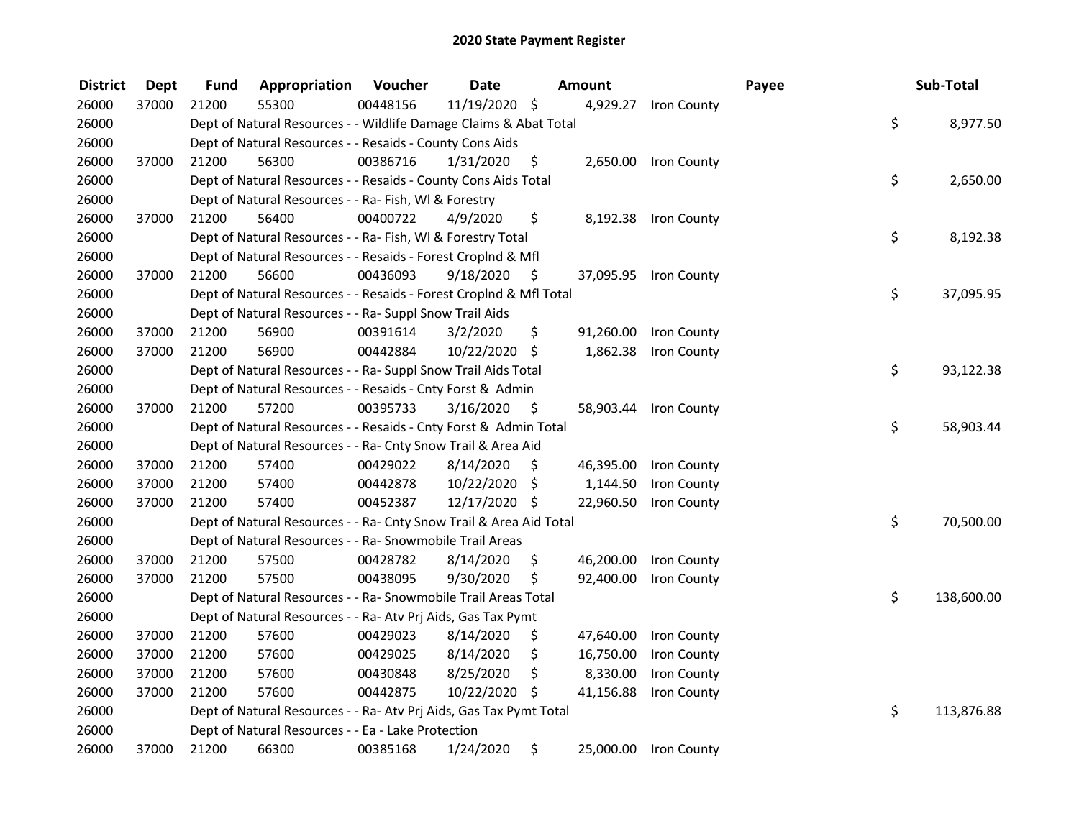| <b>District</b> | <b>Dept</b> | Fund  | Appropriation                                                      | Voucher  | <b>Date</b>   |     | Amount    |                       | Payee | Sub-Total        |
|-----------------|-------------|-------|--------------------------------------------------------------------|----------|---------------|-----|-----------|-----------------------|-------|------------------|
| 26000           | 37000       | 21200 | 55300                                                              | 00448156 | 11/19/2020 \$ |     |           | 4,929.27 Iron County  |       |                  |
| 26000           |             |       | Dept of Natural Resources - - Wildlife Damage Claims & Abat Total  |          |               |     |           |                       |       | \$<br>8,977.50   |
| 26000           |             |       | Dept of Natural Resources - - Resaids - County Cons Aids           |          |               |     |           |                       |       |                  |
| 26000           | 37000       | 21200 | 56300                                                              | 00386716 | 1/31/2020     | \$  |           | 2,650.00 Iron County  |       |                  |
| 26000           |             |       | Dept of Natural Resources - - Resaids - County Cons Aids Total     |          |               |     |           |                       |       | \$<br>2,650.00   |
| 26000           |             |       | Dept of Natural Resources - - Ra- Fish, WI & Forestry              |          |               |     |           |                       |       |                  |
| 26000           | 37000       | 21200 | 56400                                                              | 00400722 | 4/9/2020      | \$  |           | 8,192.38 Iron County  |       |                  |
| 26000           |             |       | Dept of Natural Resources - - Ra- Fish, WI & Forestry Total        |          |               |     |           |                       |       | \$<br>8,192.38   |
| 26000           |             |       | Dept of Natural Resources - - Resaids - Forest Croplnd & Mfl       |          |               |     |           |                       |       |                  |
| 26000           | 37000       | 21200 | 56600                                                              | 00436093 | 9/18/2020     | -\$ |           | 37,095.95 Iron County |       |                  |
| 26000           |             |       | Dept of Natural Resources - - Resaids - Forest CropInd & Mfl Total |          |               |     |           |                       |       | \$<br>37,095.95  |
| 26000           |             |       | Dept of Natural Resources - - Ra- Suppl Snow Trail Aids            |          |               |     |           |                       |       |                  |
| 26000           | 37000       | 21200 | 56900                                                              | 00391614 | 3/2/2020      | \$  | 91,260.00 | Iron County           |       |                  |
| 26000           | 37000       | 21200 | 56900                                                              | 00442884 | 10/22/2020    | -\$ | 1,862.38  | Iron County           |       |                  |
| 26000           |             |       | Dept of Natural Resources - - Ra- Suppl Snow Trail Aids Total      |          |               |     |           |                       |       | \$<br>93,122.38  |
| 26000           |             |       | Dept of Natural Resources - - Resaids - Cnty Forst & Admin         |          |               |     |           |                       |       |                  |
| 26000           | 37000       | 21200 | 57200                                                              | 00395733 | 3/16/2020     | \$  | 58,903.44 | Iron County           |       |                  |
| 26000           |             |       | Dept of Natural Resources - - Resaids - Cnty Forst & Admin Total   |          |               |     |           |                       |       | \$<br>58,903.44  |
| 26000           |             |       | Dept of Natural Resources - - Ra- Cnty Snow Trail & Area Aid       |          |               |     |           |                       |       |                  |
| 26000           | 37000       | 21200 | 57400                                                              | 00429022 | 8/14/2020     | \$  | 46,395.00 | Iron County           |       |                  |
| 26000           | 37000       | 21200 | 57400                                                              | 00442878 | 10/22/2020    | \$  | 1,144.50  | Iron County           |       |                  |
| 26000           | 37000       | 21200 | 57400                                                              | 00452387 | 12/17/2020 \$ |     | 22,960.50 | Iron County           |       |                  |
| 26000           |             |       | Dept of Natural Resources - - Ra- Cnty Snow Trail & Area Aid Total |          |               |     |           |                       |       | \$<br>70,500.00  |
| 26000           |             |       | Dept of Natural Resources - - Ra- Snowmobile Trail Areas           |          |               |     |           |                       |       |                  |
| 26000           | 37000       | 21200 | 57500                                                              | 00428782 | 8/14/2020     | \$  | 46,200.00 | Iron County           |       |                  |
| 26000           | 37000       | 21200 | 57500                                                              | 00438095 | 9/30/2020     | \$  | 92,400.00 | Iron County           |       |                  |
| 26000           |             |       | Dept of Natural Resources - - Ra- Snowmobile Trail Areas Total     |          |               |     |           |                       |       | \$<br>138,600.00 |
| 26000           |             |       | Dept of Natural Resources - - Ra- Atv Prj Aids, Gas Tax Pymt       |          |               |     |           |                       |       |                  |
| 26000           | 37000       | 21200 | 57600                                                              | 00429023 | 8/14/2020     | \$  | 47,640.00 | Iron County           |       |                  |
| 26000           | 37000       | 21200 | 57600                                                              | 00429025 | 8/14/2020     | \$  | 16,750.00 | Iron County           |       |                  |
| 26000           | 37000       | 21200 | 57600                                                              | 00430848 | 8/25/2020     | \$  | 8,330.00  | Iron County           |       |                  |
| 26000           | 37000       | 21200 | 57600                                                              | 00442875 | 10/22/2020    | \$  | 41,156.88 | Iron County           |       |                  |
| 26000           |             |       | Dept of Natural Resources - - Ra- Atv Prj Aids, Gas Tax Pymt Total |          |               |     |           |                       |       | \$<br>113,876.88 |
| 26000           |             |       | Dept of Natural Resources - - Ea - Lake Protection                 |          |               |     |           |                       |       |                  |
| 26000           | 37000       | 21200 | 66300                                                              | 00385168 | 1/24/2020     | \$  |           | 25,000.00 Iron County |       |                  |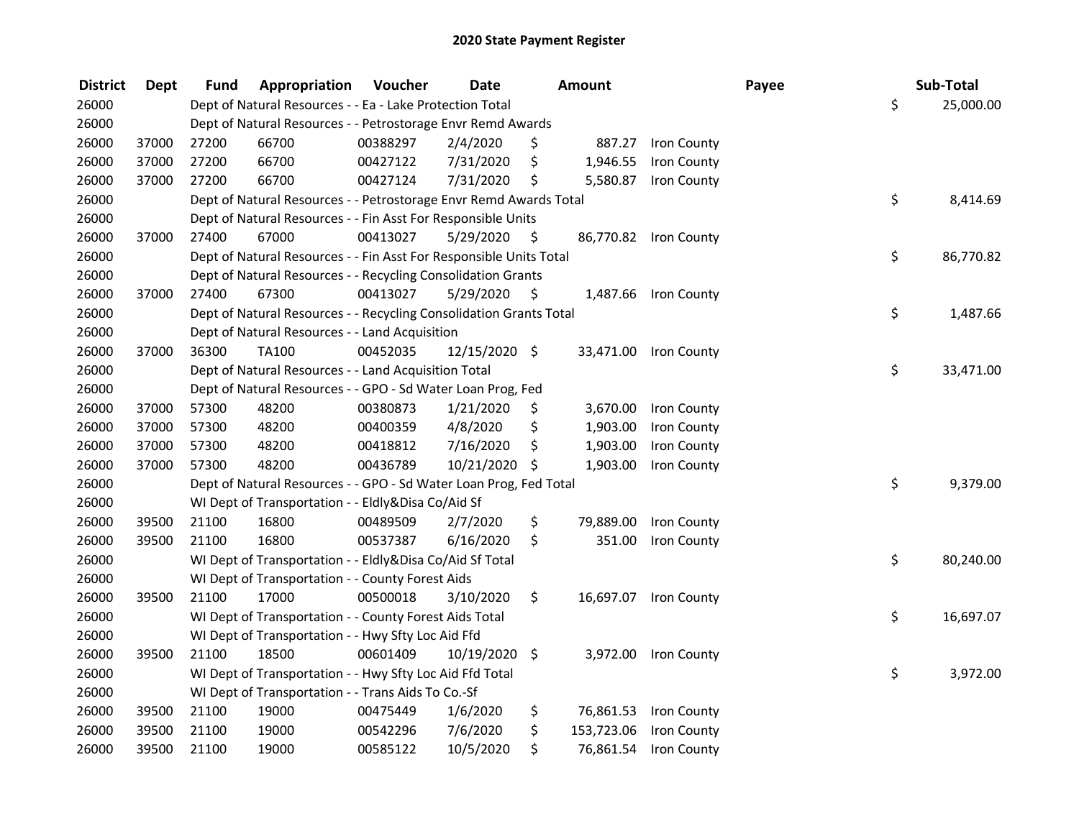| <b>District</b> | <b>Dept</b> | Fund  | Appropriation                                                      | Voucher  | <b>Date</b>   |      | Amount     |                       | Payee | Sub-Total       |
|-----------------|-------------|-------|--------------------------------------------------------------------|----------|---------------|------|------------|-----------------------|-------|-----------------|
| 26000           |             |       | Dept of Natural Resources - - Ea - Lake Protection Total           |          |               |      |            |                       |       | \$<br>25,000.00 |
| 26000           |             |       | Dept of Natural Resources - - Petrostorage Envr Remd Awards        |          |               |      |            |                       |       |                 |
| 26000           | 37000       | 27200 | 66700                                                              | 00388297 | 2/4/2020      | \$   |            | 887.27 Iron County    |       |                 |
| 26000           | 37000       | 27200 | 66700                                                              | 00427122 | 7/31/2020     | \$   | 1,946.55   | Iron County           |       |                 |
| 26000           | 37000       | 27200 | 66700                                                              | 00427124 | 7/31/2020     | \$   | 5,580.87   | Iron County           |       |                 |
| 26000           |             |       | Dept of Natural Resources - - Petrostorage Envr Remd Awards Total  |          |               |      |            |                       |       | \$<br>8,414.69  |
| 26000           |             |       | Dept of Natural Resources - - Fin Asst For Responsible Units       |          |               |      |            |                       |       |                 |
| 26000           | 37000       | 27400 | 67000                                                              | 00413027 | 5/29/2020     | - \$ |            | 86,770.82 Iron County |       |                 |
| 26000           |             |       | Dept of Natural Resources - - Fin Asst For Responsible Units Total |          |               |      |            |                       |       | \$<br>86,770.82 |
| 26000           |             |       | Dept of Natural Resources - - Recycling Consolidation Grants       |          |               |      |            |                       |       |                 |
| 26000           | 37000       | 27400 | 67300                                                              | 00413027 | 5/29/2020     | \$   |            | 1,487.66 Iron County  |       |                 |
| 26000           |             |       | Dept of Natural Resources - - Recycling Consolidation Grants Total |          |               |      |            |                       |       | \$<br>1,487.66  |
| 26000           |             |       | Dept of Natural Resources - - Land Acquisition                     |          |               |      |            |                       |       |                 |
| 26000           | 37000       | 36300 | <b>TA100</b>                                                       | 00452035 | 12/15/2020 \$ |      | 33,471.00  | Iron County           |       |                 |
| 26000           |             |       | Dept of Natural Resources - - Land Acquisition Total               |          |               |      |            |                       |       | \$<br>33,471.00 |
| 26000           |             |       | Dept of Natural Resources - - GPO - Sd Water Loan Prog, Fed        |          |               |      |            |                       |       |                 |
| 26000           | 37000       | 57300 | 48200                                                              | 00380873 | 1/21/2020     | \$   | 3,670.00   | Iron County           |       |                 |
| 26000           | 37000       | 57300 | 48200                                                              | 00400359 | 4/8/2020      | \$   | 1,903.00   | Iron County           |       |                 |
| 26000           | 37000       | 57300 | 48200                                                              | 00418812 | 7/16/2020     | \$   | 1,903.00   | Iron County           |       |                 |
| 26000           | 37000       | 57300 | 48200                                                              | 00436789 | 10/21/2020    | \$   | 1,903.00   | Iron County           |       |                 |
| 26000           |             |       | Dept of Natural Resources - - GPO - Sd Water Loan Prog, Fed Total  |          |               |      |            |                       |       | \$<br>9,379.00  |
| 26000           |             |       | WI Dept of Transportation - - Eldly&Disa Co/Aid Sf                 |          |               |      |            |                       |       |                 |
| 26000           | 39500       | 21100 | 16800                                                              | 00489509 | 2/7/2020      | \$   | 79,889.00  | Iron County           |       |                 |
| 26000           | 39500       | 21100 | 16800                                                              | 00537387 | 6/16/2020     | \$   | 351.00     | Iron County           |       |                 |
| 26000           |             |       | WI Dept of Transportation - - Eldly&Disa Co/Aid Sf Total           |          |               |      |            |                       |       | \$<br>80,240.00 |
| 26000           |             |       | WI Dept of Transportation - - County Forest Aids                   |          |               |      |            |                       |       |                 |
| 26000           | 39500       | 21100 | 17000                                                              | 00500018 | 3/10/2020     | \$   |            | 16,697.07 Iron County |       |                 |
| 26000           |             |       | WI Dept of Transportation - - County Forest Aids Total             |          |               |      |            |                       |       | \$<br>16,697.07 |
| 26000           |             |       | WI Dept of Transportation - - Hwy Sfty Loc Aid Ffd                 |          |               |      |            |                       |       |                 |
| 26000           | 39500       | 21100 | 18500                                                              | 00601409 | 10/19/2020 \$ |      | 3,972.00   | Iron County           |       |                 |
| 26000           |             |       | WI Dept of Transportation - - Hwy Sfty Loc Aid Ffd Total           |          |               |      |            |                       |       | \$<br>3,972.00  |
| 26000           |             |       | WI Dept of Transportation - - Trans Aids To Co.-Sf                 |          |               |      |            |                       |       |                 |
| 26000           | 39500       | 21100 | 19000                                                              | 00475449 | 1/6/2020      | \$   |            | 76,861.53 Iron County |       |                 |
| 26000           | 39500       | 21100 | 19000                                                              | 00542296 | 7/6/2020      | \$   | 153,723.06 | Iron County           |       |                 |
| 26000           | 39500       | 21100 | 19000                                                              | 00585122 | 10/5/2020     | \$   | 76,861.54  | Iron County           |       |                 |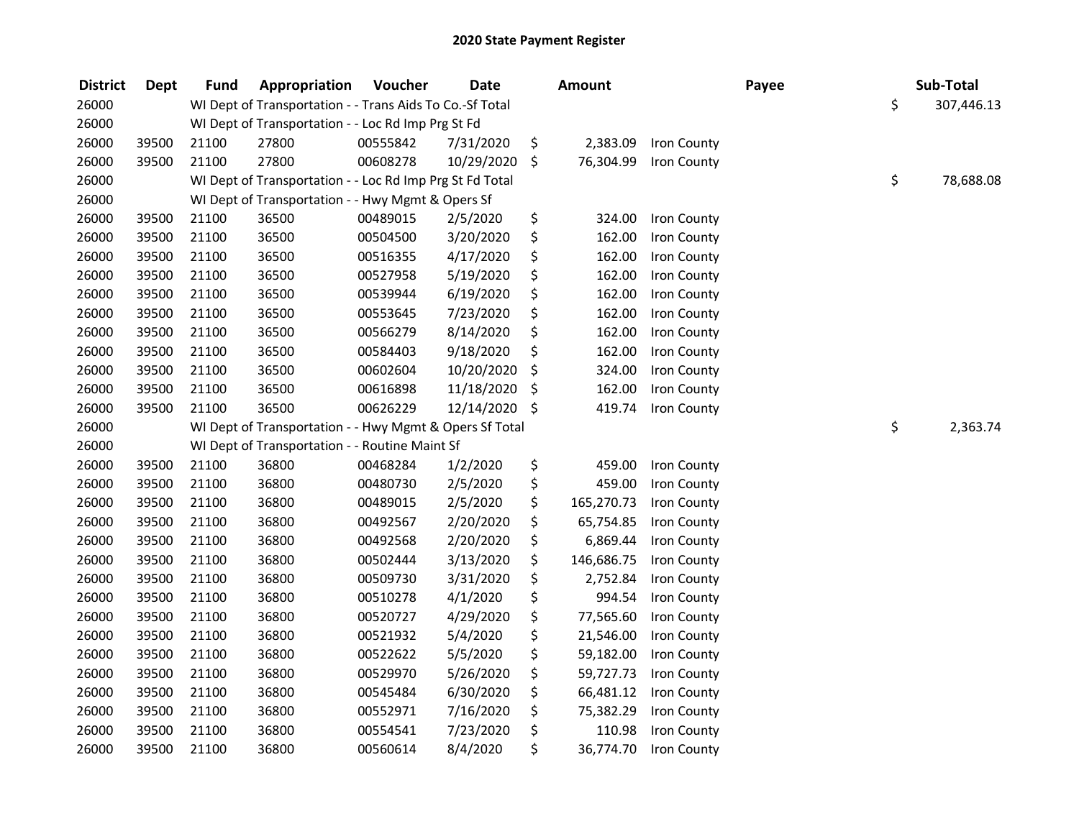| <b>District</b> | <b>Dept</b> | <b>Fund</b> | Appropriation                                            | Voucher  | <b>Date</b> |     | <b>Amount</b> |             | Payee | Sub-Total        |
|-----------------|-------------|-------------|----------------------------------------------------------|----------|-------------|-----|---------------|-------------|-------|------------------|
| 26000           |             |             | WI Dept of Transportation - - Trans Aids To Co.-Sf Total |          |             |     |               |             |       | \$<br>307,446.13 |
| 26000           |             |             | WI Dept of Transportation - - Loc Rd Imp Prg St Fd       |          |             |     |               |             |       |                  |
| 26000           | 39500       | 21100       | 27800                                                    | 00555842 | 7/31/2020   | \$  | 2,383.09      | Iron County |       |                  |
| 26000           | 39500       | 21100       | 27800                                                    | 00608278 | 10/29/2020  | \$  | 76,304.99     | Iron County |       |                  |
| 26000           |             |             | WI Dept of Transportation - - Loc Rd Imp Prg St Fd Total |          |             |     |               |             |       | \$<br>78,688.08  |
| 26000           |             |             | WI Dept of Transportation - - Hwy Mgmt & Opers Sf        |          |             |     |               |             |       |                  |
| 26000           | 39500       | 21100       | 36500                                                    | 00489015 | 2/5/2020    | \$  | 324.00        | Iron County |       |                  |
| 26000           | 39500       | 21100       | 36500                                                    | 00504500 | 3/20/2020   | \$  | 162.00        | Iron County |       |                  |
| 26000           | 39500       | 21100       | 36500                                                    | 00516355 | 4/17/2020   | \$  | 162.00        | Iron County |       |                  |
| 26000           | 39500       | 21100       | 36500                                                    | 00527958 | 5/19/2020   | \$  | 162.00        | Iron County |       |                  |
| 26000           | 39500       | 21100       | 36500                                                    | 00539944 | 6/19/2020   | \$  | 162.00        | Iron County |       |                  |
| 26000           | 39500       | 21100       | 36500                                                    | 00553645 | 7/23/2020   | \$  | 162.00        | Iron County |       |                  |
| 26000           | 39500       | 21100       | 36500                                                    | 00566279 | 8/14/2020   | \$  | 162.00        | Iron County |       |                  |
| 26000           | 39500       | 21100       | 36500                                                    | 00584403 | 9/18/2020   | \$  | 162.00        | Iron County |       |                  |
| 26000           | 39500       | 21100       | 36500                                                    | 00602604 | 10/20/2020  | \$  | 324.00        | Iron County |       |                  |
| 26000           | 39500       | 21100       | 36500                                                    | 00616898 | 11/18/2020  | \$  | 162.00        | Iron County |       |                  |
| 26000           | 39500       | 21100       | 36500                                                    | 00626229 | 12/14/2020  | -\$ | 419.74        | Iron County |       |                  |
| 26000           |             |             | WI Dept of Transportation - - Hwy Mgmt & Opers Sf Total  |          |             |     |               |             |       | \$<br>2,363.74   |
| 26000           |             |             | WI Dept of Transportation - - Routine Maint Sf           |          |             |     |               |             |       |                  |
| 26000           | 39500       | 21100       | 36800                                                    | 00468284 | 1/2/2020    | \$  | 459.00        | Iron County |       |                  |
| 26000           | 39500       | 21100       | 36800                                                    | 00480730 | 2/5/2020    | \$  | 459.00        | Iron County |       |                  |
| 26000           | 39500       | 21100       | 36800                                                    | 00489015 | 2/5/2020    | \$  | 165,270.73    | Iron County |       |                  |
| 26000           | 39500       | 21100       | 36800                                                    | 00492567 | 2/20/2020   | \$  | 65,754.85     | Iron County |       |                  |
| 26000           | 39500       | 21100       | 36800                                                    | 00492568 | 2/20/2020   | \$  | 6,869.44      | Iron County |       |                  |
| 26000           | 39500       | 21100       | 36800                                                    | 00502444 | 3/13/2020   | \$  | 146,686.75    | Iron County |       |                  |
| 26000           | 39500       | 21100       | 36800                                                    | 00509730 | 3/31/2020   | \$  | 2,752.84      | Iron County |       |                  |
| 26000           | 39500       | 21100       | 36800                                                    | 00510278 | 4/1/2020    | \$  | 994.54        | Iron County |       |                  |
| 26000           | 39500       | 21100       | 36800                                                    | 00520727 | 4/29/2020   | \$  | 77,565.60     | Iron County |       |                  |
| 26000           | 39500       | 21100       | 36800                                                    | 00521932 | 5/4/2020    | \$  | 21,546.00     | Iron County |       |                  |
| 26000           | 39500       | 21100       | 36800                                                    | 00522622 | 5/5/2020    | \$  | 59,182.00     | Iron County |       |                  |
| 26000           | 39500       | 21100       | 36800                                                    | 00529970 | 5/26/2020   | \$  | 59,727.73     | Iron County |       |                  |
| 26000           | 39500       | 21100       | 36800                                                    | 00545484 | 6/30/2020   | \$  | 66,481.12     | Iron County |       |                  |
| 26000           | 39500       | 21100       | 36800                                                    | 00552971 | 7/16/2020   | \$  | 75,382.29     | Iron County |       |                  |
| 26000           | 39500       | 21100       | 36800                                                    | 00554541 | 7/23/2020   | \$  | 110.98        | Iron County |       |                  |
| 26000           | 39500       | 21100       | 36800                                                    | 00560614 | 8/4/2020    | \$  | 36,774.70     | Iron County |       |                  |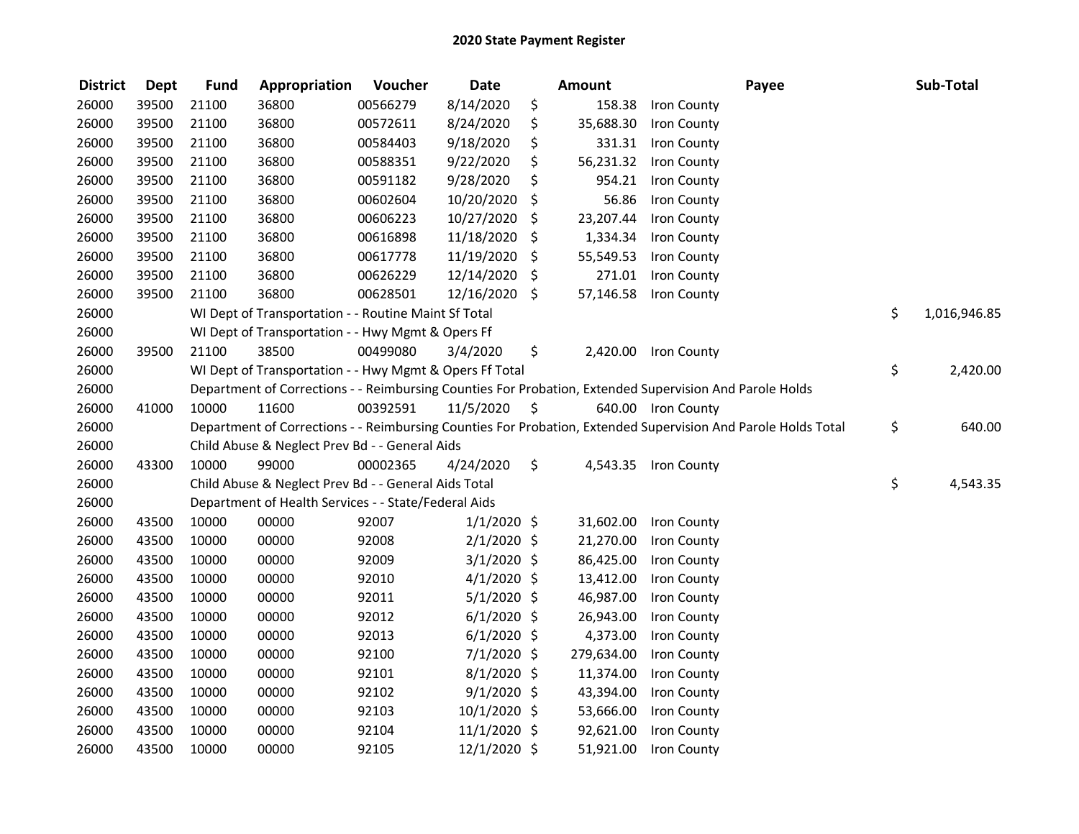| <b>District</b> | <b>Dept</b> | <b>Fund</b> | Appropriation                                           | Voucher  | <b>Date</b>   |     | <b>Amount</b> | Payee                                                                                                         | Sub-Total          |
|-----------------|-------------|-------------|---------------------------------------------------------|----------|---------------|-----|---------------|---------------------------------------------------------------------------------------------------------------|--------------------|
| 26000           | 39500       | 21100       | 36800                                                   | 00566279 | 8/14/2020     | \$  | 158.38        | Iron County                                                                                                   |                    |
| 26000           | 39500       | 21100       | 36800                                                   | 00572611 | 8/24/2020     | \$  | 35,688.30     | Iron County                                                                                                   |                    |
| 26000           | 39500       | 21100       | 36800                                                   | 00584403 | 9/18/2020     | \$  | 331.31        | Iron County                                                                                                   |                    |
| 26000           | 39500       | 21100       | 36800                                                   | 00588351 | 9/22/2020     | \$  | 56,231.32     | Iron County                                                                                                   |                    |
| 26000           | 39500       | 21100       | 36800                                                   | 00591182 | 9/28/2020     | \$  | 954.21        | Iron County                                                                                                   |                    |
| 26000           | 39500       | 21100       | 36800                                                   | 00602604 | 10/20/2020    | \$  | 56.86         | Iron County                                                                                                   |                    |
| 26000           | 39500       | 21100       | 36800                                                   | 00606223 | 10/27/2020    | -\$ | 23,207.44     | Iron County                                                                                                   |                    |
| 26000           | 39500       | 21100       | 36800                                                   | 00616898 | 11/18/2020    | \$  | 1,334.34      | Iron County                                                                                                   |                    |
| 26000           | 39500       | 21100       | 36800                                                   | 00617778 | 11/19/2020    | \$  | 55,549.53     | Iron County                                                                                                   |                    |
| 26000           | 39500       | 21100       | 36800                                                   | 00626229 | 12/14/2020    | \$  | 271.01        | Iron County                                                                                                   |                    |
| 26000           | 39500       | 21100       | 36800                                                   | 00628501 | 12/16/2020    | \$  | 57,146.58     | Iron County                                                                                                   |                    |
| 26000           |             |             | WI Dept of Transportation - - Routine Maint Sf Total    |          |               |     |               |                                                                                                               | \$<br>1,016,946.85 |
| 26000           |             |             | WI Dept of Transportation - - Hwy Mgmt & Opers Ff       |          |               |     |               |                                                                                                               |                    |
| 26000           | 39500       | 21100       | 38500                                                   | 00499080 | 3/4/2020      | \$  | 2,420.00      | Iron County                                                                                                   |                    |
| 26000           |             |             | WI Dept of Transportation - - Hwy Mgmt & Opers Ff Total |          |               |     |               |                                                                                                               | \$<br>2,420.00     |
| 26000           |             |             |                                                         |          |               |     |               | Department of Corrections - - Reimbursing Counties For Probation, Extended Supervision And Parole Holds       |                    |
| 26000           | 41000       | 10000       | 11600                                                   | 00392591 | 11/5/2020     | \$  |               | 640.00 Iron County                                                                                            |                    |
| 26000           |             |             |                                                         |          |               |     |               | Department of Corrections - - Reimbursing Counties For Probation, Extended Supervision And Parole Holds Total | \$<br>640.00       |
| 26000           |             |             | Child Abuse & Neglect Prev Bd - - General Aids          |          |               |     |               |                                                                                                               |                    |
| 26000           | 43300       | 10000       | 99000                                                   | 00002365 | 4/24/2020     | \$  | 4,543.35      | Iron County                                                                                                   |                    |
| 26000           |             |             | Child Abuse & Neglect Prev Bd - - General Aids Total    |          |               |     |               |                                                                                                               | \$<br>4,543.35     |
| 26000           |             |             | Department of Health Services - - State/Federal Aids    |          |               |     |               |                                                                                                               |                    |
| 26000           | 43500       | 10000       | 00000                                                   | 92007    | $1/1/2020$ \$ |     | 31,602.00     | Iron County                                                                                                   |                    |
| 26000           | 43500       | 10000       | 00000                                                   | 92008    | $2/1/2020$ \$ |     | 21,270.00     | Iron County                                                                                                   |                    |
| 26000           | 43500       | 10000       | 00000                                                   | 92009    | $3/1/2020$ \$ |     | 86,425.00     | Iron County                                                                                                   |                    |
| 26000           | 43500       | 10000       | 00000                                                   | 92010    | $4/1/2020$ \$ |     | 13,412.00     | Iron County                                                                                                   |                    |
| 26000           | 43500       | 10000       | 00000                                                   | 92011    | $5/1/2020$ \$ |     | 46,987.00     | Iron County                                                                                                   |                    |
| 26000           | 43500       | 10000       | 00000                                                   | 92012    | $6/1/2020$ \$ |     | 26,943.00     | Iron County                                                                                                   |                    |
| 26000           | 43500       | 10000       | 00000                                                   | 92013    | $6/1/2020$ \$ |     | 4,373.00      | Iron County                                                                                                   |                    |
| 26000           | 43500       | 10000       | 00000                                                   | 92100    | $7/1/2020$ \$ |     | 279,634.00    | Iron County                                                                                                   |                    |
| 26000           | 43500       | 10000       | 00000                                                   | 92101    | $8/1/2020$ \$ |     | 11,374.00     | Iron County                                                                                                   |                    |
| 26000           | 43500       | 10000       | 00000                                                   | 92102    | $9/1/2020$ \$ |     | 43,394.00     | Iron County                                                                                                   |                    |
| 26000           | 43500       | 10000       | 00000                                                   | 92103    | 10/1/2020 \$  |     | 53,666.00     | Iron County                                                                                                   |                    |
| 26000           | 43500       | 10000       | 00000                                                   | 92104    | 11/1/2020 \$  |     | 92,621.00     | Iron County                                                                                                   |                    |
| 26000           | 43500       | 10000       | 00000                                                   | 92105    | 12/1/2020 \$  |     | 51,921.00     | Iron County                                                                                                   |                    |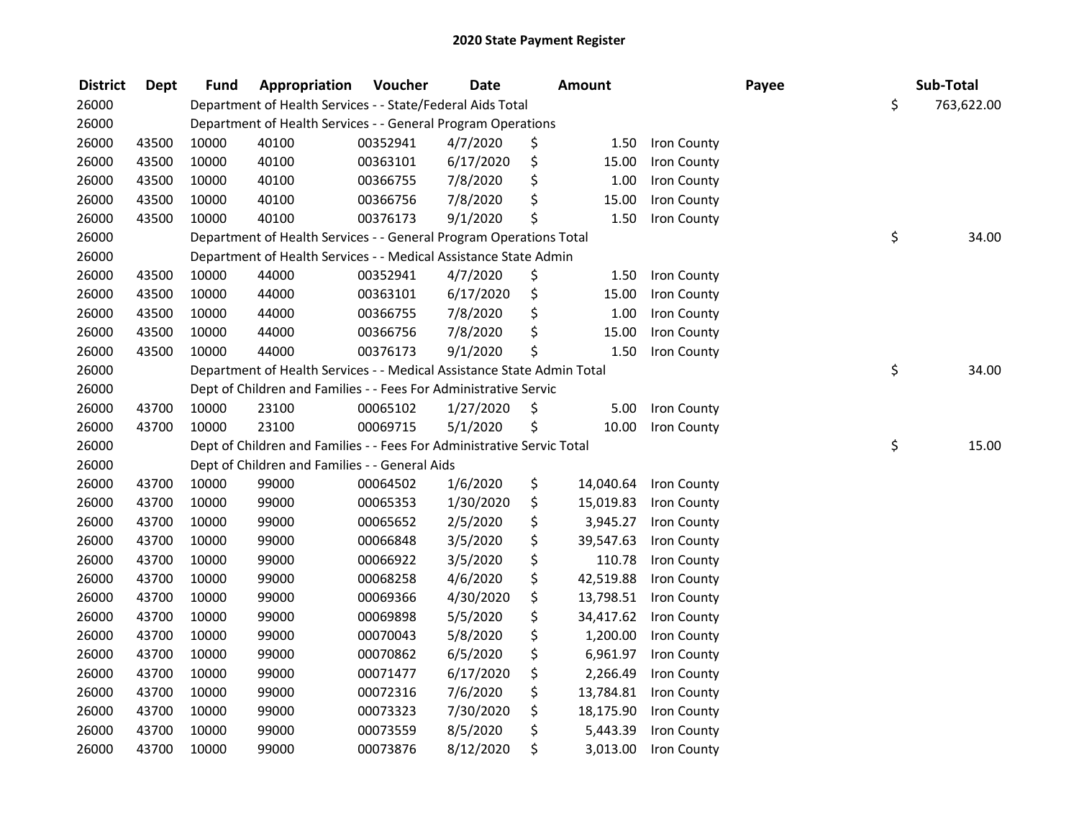| <b>District</b> | <b>Dept</b> | <b>Fund</b> | Appropriation                                                          | Voucher  | <b>Date</b> | <b>Amount</b>   |             | Payee | Sub-Total        |
|-----------------|-------------|-------------|------------------------------------------------------------------------|----------|-------------|-----------------|-------------|-------|------------------|
| 26000           |             |             | Department of Health Services - - State/Federal Aids Total             |          |             |                 |             |       | \$<br>763,622.00 |
| 26000           |             |             | Department of Health Services - - General Program Operations           |          |             |                 |             |       |                  |
| 26000           | 43500       | 10000       | 40100                                                                  | 00352941 | 4/7/2020    | \$<br>1.50      | Iron County |       |                  |
| 26000           | 43500       | 10000       | 40100                                                                  | 00363101 | 6/17/2020   | \$<br>15.00     | Iron County |       |                  |
| 26000           | 43500       | 10000       | 40100                                                                  | 00366755 | 7/8/2020    | \$<br>1.00      | Iron County |       |                  |
| 26000           | 43500       | 10000       | 40100                                                                  | 00366756 | 7/8/2020    | \$<br>15.00     | Iron County |       |                  |
| 26000           | 43500       | 10000       | 40100                                                                  | 00376173 | 9/1/2020    | \$<br>1.50      | Iron County |       |                  |
| 26000           |             |             | Department of Health Services - - General Program Operations Total     |          |             |                 |             |       | \$<br>34.00      |
| 26000           |             |             | Department of Health Services - - Medical Assistance State Admin       |          |             |                 |             |       |                  |
| 26000           | 43500       | 10000       | 44000                                                                  | 00352941 | 4/7/2020    | \$<br>1.50      | Iron County |       |                  |
| 26000           | 43500       | 10000       | 44000                                                                  | 00363101 | 6/17/2020   | \$<br>15.00     | Iron County |       |                  |
| 26000           | 43500       | 10000       | 44000                                                                  | 00366755 | 7/8/2020    | \$<br>1.00      | Iron County |       |                  |
| 26000           | 43500       | 10000       | 44000                                                                  | 00366756 | 7/8/2020    | \$<br>15.00     | Iron County |       |                  |
| 26000           | 43500       | 10000       | 44000                                                                  | 00376173 | 9/1/2020    | \$<br>1.50      | Iron County |       |                  |
| 26000           |             |             | Department of Health Services - - Medical Assistance State Admin Total |          |             |                 |             |       | \$<br>34.00      |
| 26000           |             |             | Dept of Children and Families - - Fees For Administrative Servic       |          |             |                 |             |       |                  |
| 26000           | 43700       | 10000       | 23100                                                                  | 00065102 | 1/27/2020   | \$<br>5.00      | Iron County |       |                  |
| 26000           | 43700       | 10000       | 23100                                                                  | 00069715 | 5/1/2020    | \$<br>10.00     | Iron County |       |                  |
| 26000           |             |             | Dept of Children and Families - - Fees For Administrative Servic Total |          |             |                 |             |       | \$<br>15.00      |
| 26000           |             |             | Dept of Children and Families - - General Aids                         |          |             |                 |             |       |                  |
| 26000           | 43700       | 10000       | 99000                                                                  | 00064502 | 1/6/2020    | \$<br>14,040.64 | Iron County |       |                  |
| 26000           | 43700       | 10000       | 99000                                                                  | 00065353 | 1/30/2020   | \$<br>15,019.83 | Iron County |       |                  |
| 26000           | 43700       | 10000       | 99000                                                                  | 00065652 | 2/5/2020    | \$<br>3,945.27  | Iron County |       |                  |
| 26000           | 43700       | 10000       | 99000                                                                  | 00066848 | 3/5/2020    | \$<br>39,547.63 | Iron County |       |                  |
| 26000           | 43700       | 10000       | 99000                                                                  | 00066922 | 3/5/2020    | \$<br>110.78    | Iron County |       |                  |
| 26000           | 43700       | 10000       | 99000                                                                  | 00068258 | 4/6/2020    | \$<br>42,519.88 | Iron County |       |                  |
| 26000           | 43700       | 10000       | 99000                                                                  | 00069366 | 4/30/2020   | \$<br>13,798.51 | Iron County |       |                  |
| 26000           | 43700       | 10000       | 99000                                                                  | 00069898 | 5/5/2020    | \$<br>34,417.62 | Iron County |       |                  |
| 26000           | 43700       | 10000       | 99000                                                                  | 00070043 | 5/8/2020    | \$<br>1,200.00  | Iron County |       |                  |
| 26000           | 43700       | 10000       | 99000                                                                  | 00070862 | 6/5/2020    | \$<br>6,961.97  | Iron County |       |                  |
| 26000           | 43700       | 10000       | 99000                                                                  | 00071477 | 6/17/2020   | \$<br>2,266.49  | Iron County |       |                  |
| 26000           | 43700       | 10000       | 99000                                                                  | 00072316 | 7/6/2020    | \$<br>13,784.81 | Iron County |       |                  |
| 26000           | 43700       | 10000       | 99000                                                                  | 00073323 | 7/30/2020   | \$<br>18,175.90 | Iron County |       |                  |
| 26000           | 43700       | 10000       | 99000                                                                  | 00073559 | 8/5/2020    | \$<br>5,443.39  | Iron County |       |                  |
| 26000           | 43700       | 10000       | 99000                                                                  | 00073876 | 8/12/2020   | \$<br>3,013.00  | Iron County |       |                  |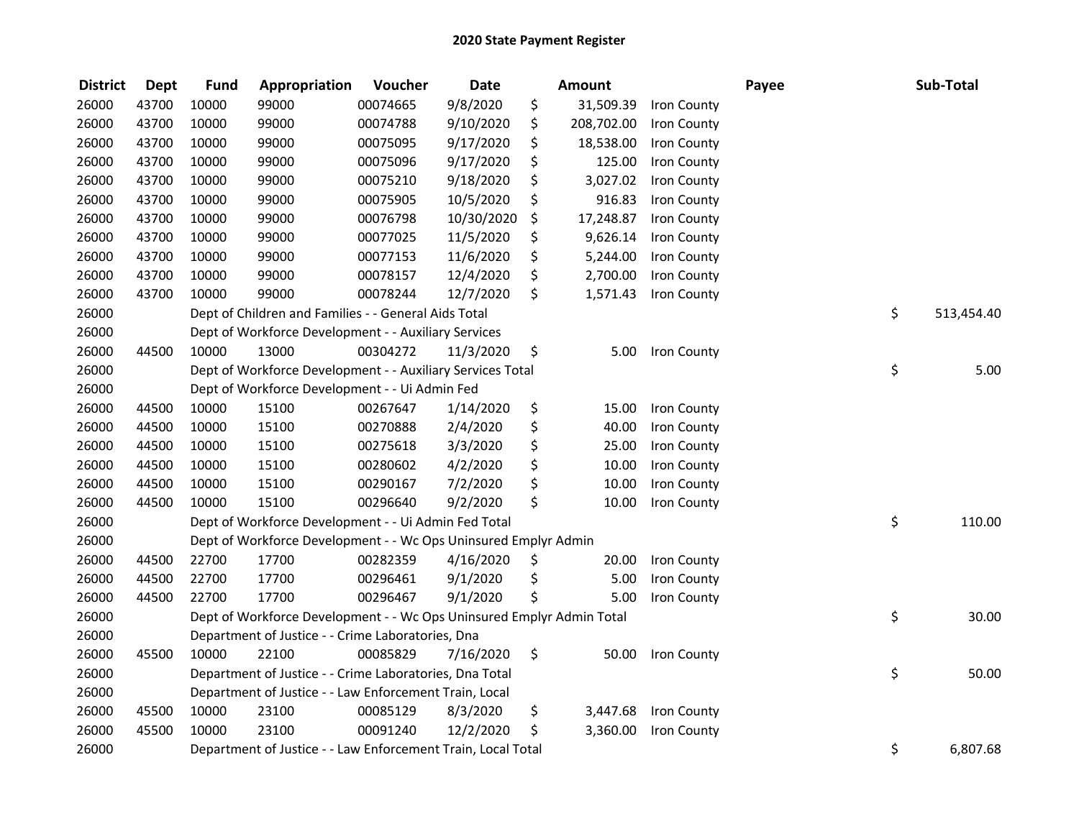| <b>District</b> | <b>Dept</b> | <b>Fund</b> | Appropriation                                                         | Voucher  | <b>Date</b> |     | <b>Amount</b> |             | Payee | Sub-Total        |
|-----------------|-------------|-------------|-----------------------------------------------------------------------|----------|-------------|-----|---------------|-------------|-------|------------------|
| 26000           | 43700       | 10000       | 99000                                                                 | 00074665 | 9/8/2020    | \$  | 31,509.39     | Iron County |       |                  |
| 26000           | 43700       | 10000       | 99000                                                                 | 00074788 | 9/10/2020   | \$  | 208,702.00    | Iron County |       |                  |
| 26000           | 43700       | 10000       | 99000                                                                 | 00075095 | 9/17/2020   | \$  | 18,538.00     | Iron County |       |                  |
| 26000           | 43700       | 10000       | 99000                                                                 | 00075096 | 9/17/2020   | \$  | 125.00        | Iron County |       |                  |
| 26000           | 43700       | 10000       | 99000                                                                 | 00075210 | 9/18/2020   | \$  | 3,027.02      | Iron County |       |                  |
| 26000           | 43700       | 10000       | 99000                                                                 | 00075905 | 10/5/2020   | \$  | 916.83        | Iron County |       |                  |
| 26000           | 43700       | 10000       | 99000                                                                 | 00076798 | 10/30/2020  | \$  | 17,248.87     | Iron County |       |                  |
| 26000           | 43700       | 10000       | 99000                                                                 | 00077025 | 11/5/2020   | \$  | 9,626.14      | Iron County |       |                  |
| 26000           | 43700       | 10000       | 99000                                                                 | 00077153 | 11/6/2020   | \$  | 5,244.00      | Iron County |       |                  |
| 26000           | 43700       | 10000       | 99000                                                                 | 00078157 | 12/4/2020   | \$  | 2,700.00      | Iron County |       |                  |
| 26000           | 43700       | 10000       | 99000                                                                 | 00078244 | 12/7/2020   | \$  | 1,571.43      | Iron County |       |                  |
| 26000           |             |             | Dept of Children and Families - - General Aids Total                  |          |             |     |               |             |       | \$<br>513,454.40 |
| 26000           |             |             | Dept of Workforce Development - - Auxiliary Services                  |          |             |     |               |             |       |                  |
| 26000           | 44500       | 10000       | 13000                                                                 | 00304272 | 11/3/2020   | \$  | 5.00          | Iron County |       |                  |
| 26000           |             |             | Dept of Workforce Development - - Auxiliary Services Total            |          |             |     |               |             |       | \$<br>5.00       |
| 26000           |             |             | Dept of Workforce Development - - Ui Admin Fed                        |          |             |     |               |             |       |                  |
| 26000           | 44500       | 10000       | 15100                                                                 | 00267647 | 1/14/2020   | \$  | 15.00         | Iron County |       |                  |
| 26000           | 44500       | 10000       | 15100                                                                 | 00270888 | 2/4/2020    | \$  | 40.00         | Iron County |       |                  |
| 26000           | 44500       | 10000       | 15100                                                                 | 00275618 | 3/3/2020    | \$  | 25.00         | Iron County |       |                  |
| 26000           | 44500       | 10000       | 15100                                                                 | 00280602 | 4/2/2020    | \$  | 10.00         | Iron County |       |                  |
| 26000           | 44500       | 10000       | 15100                                                                 | 00290167 | 7/2/2020    | \$  | 10.00         | Iron County |       |                  |
| 26000           | 44500       | 10000       | 15100                                                                 | 00296640 | 9/2/2020    | \$  | 10.00         | Iron County |       |                  |
| 26000           |             |             | Dept of Workforce Development - - Ui Admin Fed Total                  |          |             |     |               |             |       | \$<br>110.00     |
| 26000           |             |             | Dept of Workforce Development - - Wc Ops Uninsured Emplyr Admin       |          |             |     |               |             |       |                  |
| 26000           | 44500       | 22700       | 17700                                                                 | 00282359 | 4/16/2020   | \$, | 20.00         | Iron County |       |                  |
| 26000           | 44500       | 22700       | 17700                                                                 | 00296461 | 9/1/2020    | \$  | 5.00          | Iron County |       |                  |
| 26000           | 44500       | 22700       | 17700                                                                 | 00296467 | 9/1/2020    | \$  | 5.00          | Iron County |       |                  |
| 26000           |             |             | Dept of Workforce Development - - Wc Ops Uninsured Emplyr Admin Total |          |             |     |               |             |       | \$<br>30.00      |
| 26000           |             |             | Department of Justice - - Crime Laboratories, Dna                     |          |             |     |               |             |       |                  |
| 26000           | 45500       | 10000       | 22100                                                                 | 00085829 | 7/16/2020   | \$  | 50.00         | Iron County |       |                  |
| 26000           |             |             | Department of Justice - - Crime Laboratories, Dna Total               |          |             |     |               |             |       | \$<br>50.00      |
| 26000           |             |             | Department of Justice - - Law Enforcement Train, Local                |          |             |     |               |             |       |                  |
| 26000           | 45500       | 10000       | 23100                                                                 | 00085129 | 8/3/2020    | \$  | 3,447.68      | Iron County |       |                  |
| 26000           | 45500       | 10000       | 23100                                                                 | 00091240 | 12/2/2020   | \$  | 3,360.00      | Iron County |       |                  |
| 26000           |             |             | Department of Justice - - Law Enforcement Train, Local Total          |          |             |     |               |             |       | \$<br>6,807.68   |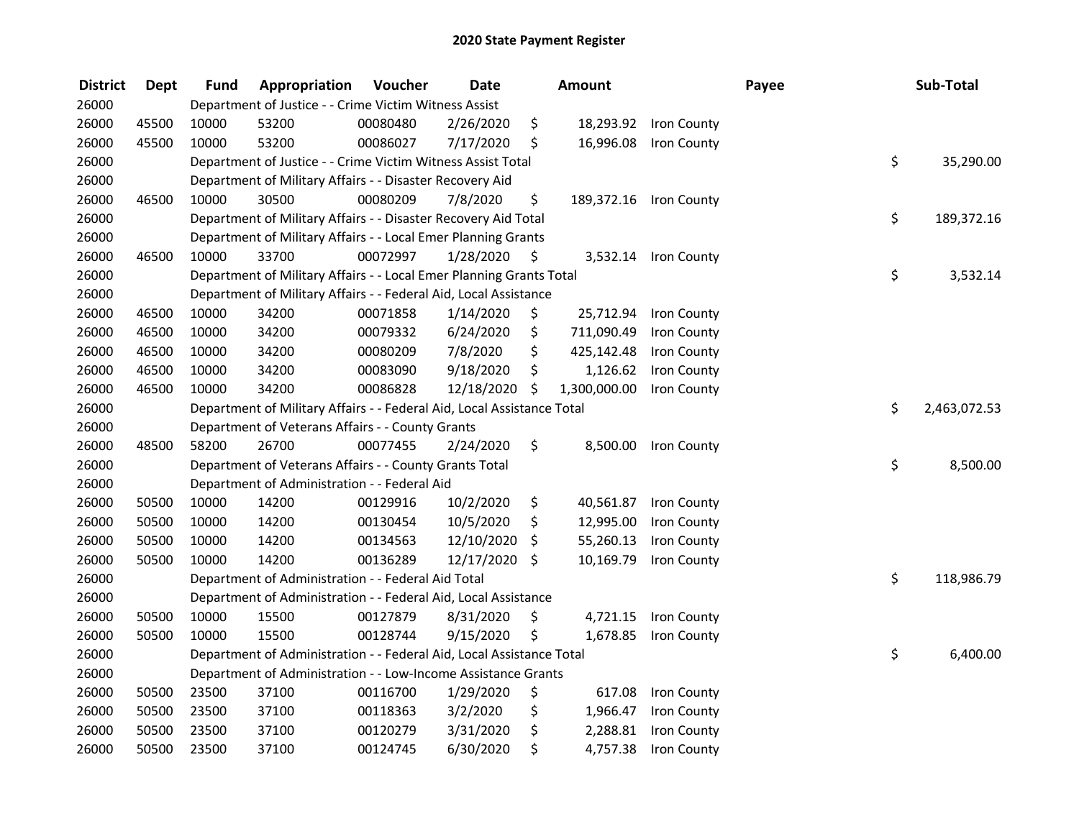| <b>District</b> | <b>Dept</b> | <b>Fund</b> | Appropriation                                                          | Voucher  | <b>Date</b> |     | Amount       |                        | Payee | Sub-Total          |
|-----------------|-------------|-------------|------------------------------------------------------------------------|----------|-------------|-----|--------------|------------------------|-------|--------------------|
| 26000           |             |             | Department of Justice - - Crime Victim Witness Assist                  |          |             |     |              |                        |       |                    |
| 26000           | 45500       | 10000       | 53200                                                                  | 00080480 | 2/26/2020   | \$  |              | 18,293.92 Iron County  |       |                    |
| 26000           | 45500       | 10000       | 53200                                                                  | 00086027 | 7/17/2020   | \$  | 16,996.08    | Iron County            |       |                    |
| 26000           |             |             | Department of Justice - - Crime Victim Witness Assist Total            |          |             |     |              |                        |       | \$<br>35,290.00    |
| 26000           |             |             | Department of Military Affairs - - Disaster Recovery Aid               |          |             |     |              |                        |       |                    |
| 26000           | 46500       | 10000       | 30500                                                                  | 00080209 | 7/8/2020    | \$  |              | 189,372.16 Iron County |       |                    |
| 26000           |             |             | Department of Military Affairs - - Disaster Recovery Aid Total         |          |             |     |              |                        |       | \$<br>189,372.16   |
| 26000           |             |             | Department of Military Affairs - - Local Emer Planning Grants          |          |             |     |              |                        |       |                    |
| 26000           | 46500       | 10000       | 33700                                                                  | 00072997 | 1/28/2020   | \$. |              | 3,532.14 Iron County   |       |                    |
| 26000           |             |             | Department of Military Affairs - - Local Emer Planning Grants Total    |          |             |     |              |                        |       | \$<br>3,532.14     |
| 26000           |             |             | Department of Military Affairs - - Federal Aid, Local Assistance       |          |             |     |              |                        |       |                    |
| 26000           | 46500       | 10000       | 34200                                                                  | 00071858 | 1/14/2020   | \$  | 25,712.94    | Iron County            |       |                    |
| 26000           | 46500       | 10000       | 34200                                                                  | 00079332 | 6/24/2020   | \$  | 711,090.49   | Iron County            |       |                    |
| 26000           | 46500       | 10000       | 34200                                                                  | 00080209 | 7/8/2020    | \$  | 425,142.48   | Iron County            |       |                    |
| 26000           | 46500       | 10000       | 34200                                                                  | 00083090 | 9/18/2020   | \$  | 1,126.62     | Iron County            |       |                    |
| 26000           | 46500       | 10000       | 34200                                                                  | 00086828 | 12/18/2020  | \$  | 1,300,000.00 | Iron County            |       |                    |
| 26000           |             |             | Department of Military Affairs - - Federal Aid, Local Assistance Total |          |             |     |              |                        |       | \$<br>2,463,072.53 |
| 26000           |             |             | Department of Veterans Affairs - - County Grants                       |          |             |     |              |                        |       |                    |
| 26000           | 48500       | 58200       | 26700                                                                  | 00077455 | 2/24/2020   | \$  | 8,500.00     | Iron County            |       |                    |
| 26000           |             |             | Department of Veterans Affairs - - County Grants Total                 |          |             |     |              |                        |       | \$<br>8,500.00     |
| 26000           |             |             | Department of Administration - - Federal Aid                           |          |             |     |              |                        |       |                    |
| 26000           | 50500       | 10000       | 14200                                                                  | 00129916 | 10/2/2020   | \$  | 40,561.87    | Iron County            |       |                    |
| 26000           | 50500       | 10000       | 14200                                                                  | 00130454 | 10/5/2020   | \$  | 12,995.00    | Iron County            |       |                    |
| 26000           | 50500       | 10000       | 14200                                                                  | 00134563 | 12/10/2020  | \$  | 55,260.13    | Iron County            |       |                    |
| 26000           | 50500       | 10000       | 14200                                                                  | 00136289 | 12/17/2020  | \$  | 10,169.79    | Iron County            |       |                    |
| 26000           |             |             | Department of Administration - - Federal Aid Total                     |          |             |     |              |                        |       | \$<br>118,986.79   |
| 26000           |             |             | Department of Administration - - Federal Aid, Local Assistance         |          |             |     |              |                        |       |                    |
| 26000           | 50500       | 10000       | 15500                                                                  | 00127879 | 8/31/2020   | \$. | 4,721.15     | Iron County            |       |                    |
| 26000           | 50500       | 10000       | 15500                                                                  | 00128744 | 9/15/2020   | \$  | 1,678.85     | Iron County            |       |                    |
| 26000           |             |             | Department of Administration - - Federal Aid, Local Assistance Total   |          |             |     |              |                        |       | \$<br>6,400.00     |
| 26000           |             |             | Department of Administration - - Low-Income Assistance Grants          |          |             |     |              |                        |       |                    |
| 26000           | 50500       | 23500       | 37100                                                                  | 00116700 | 1/29/2020   | \$  | 617.08       | Iron County            |       |                    |
| 26000           | 50500       | 23500       | 37100                                                                  | 00118363 | 3/2/2020    | \$  | 1,966.47     | Iron County            |       |                    |
| 26000           | 50500       | 23500       | 37100                                                                  | 00120279 | 3/31/2020   | \$  | 2,288.81     | Iron County            |       |                    |
| 26000           | 50500       | 23500       | 37100                                                                  | 00124745 | 6/30/2020   | \$  | 4,757.38     | Iron County            |       |                    |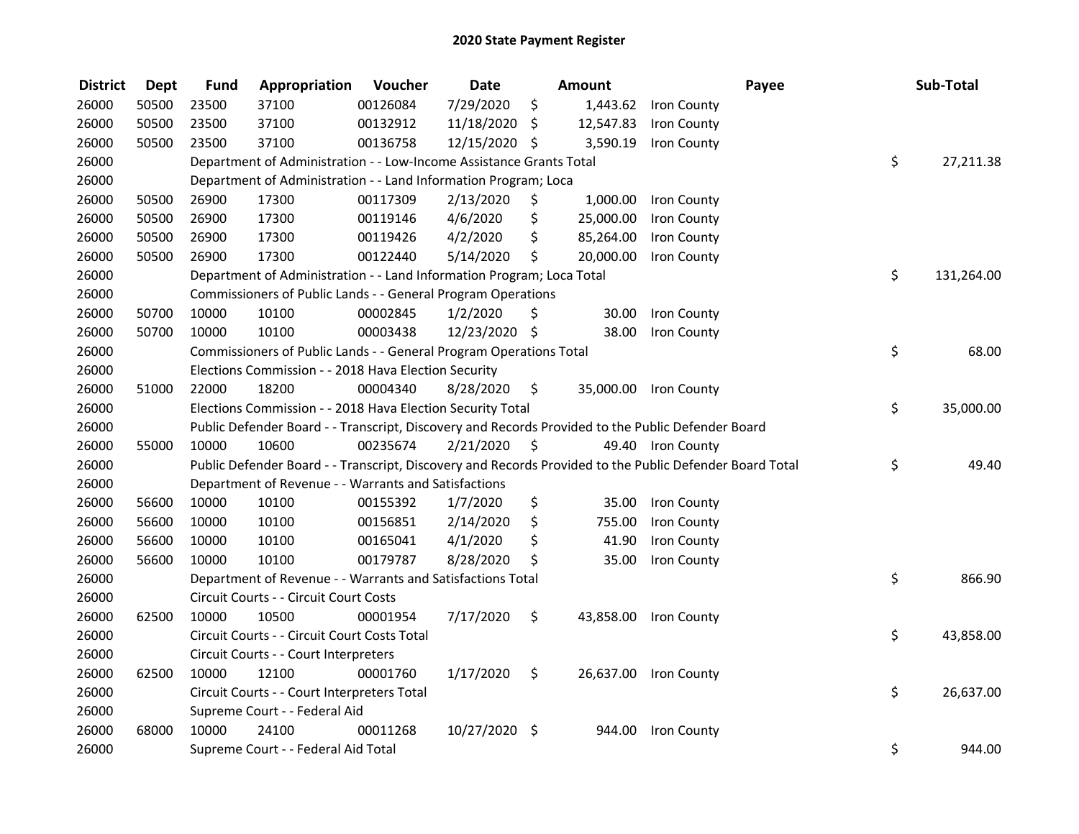| <b>District</b> | <b>Dept</b> | <b>Fund</b> | Appropriation                                                         | Voucher  | <b>Date</b>   |      | Amount    | Payee                                                                                                   | Sub-Total        |
|-----------------|-------------|-------------|-----------------------------------------------------------------------|----------|---------------|------|-----------|---------------------------------------------------------------------------------------------------------|------------------|
| 26000           | 50500       | 23500       | 37100                                                                 | 00126084 | 7/29/2020     | \$   |           | 1,443.62 Iron County                                                                                    |                  |
| 26000           | 50500       | 23500       | 37100                                                                 | 00132912 | 11/18/2020    | \$   | 12,547.83 | Iron County                                                                                             |                  |
| 26000           | 50500       | 23500       | 37100                                                                 | 00136758 | 12/15/2020 \$ |      | 3,590.19  | Iron County                                                                                             |                  |
| 26000           |             |             | Department of Administration - - Low-Income Assistance Grants Total   |          |               |      |           |                                                                                                         | \$<br>27,211.38  |
| 26000           |             |             | Department of Administration - - Land Information Program; Loca       |          |               |      |           |                                                                                                         |                  |
| 26000           | 50500       | 26900       | 17300                                                                 | 00117309 | 2/13/2020     | \$   | 1,000.00  | Iron County                                                                                             |                  |
| 26000           | 50500       | 26900       | 17300                                                                 | 00119146 | 4/6/2020      | \$   | 25,000.00 | Iron County                                                                                             |                  |
| 26000           | 50500       | 26900       | 17300                                                                 | 00119426 | 4/2/2020      | \$   | 85,264.00 | Iron County                                                                                             |                  |
| 26000           | 50500       | 26900       | 17300                                                                 | 00122440 | 5/14/2020     | \$   | 20,000.00 | Iron County                                                                                             |                  |
| 26000           |             |             | Department of Administration - - Land Information Program; Loca Total |          |               |      |           |                                                                                                         | \$<br>131,264.00 |
| 26000           |             |             | Commissioners of Public Lands - - General Program Operations          |          |               |      |           |                                                                                                         |                  |
| 26000           | 50700       | 10000       | 10100                                                                 | 00002845 | 1/2/2020      | \$   | 30.00     | Iron County                                                                                             |                  |
| 26000           | 50700       | 10000       | 10100                                                                 | 00003438 | 12/23/2020    | \$   | 38.00     | Iron County                                                                                             |                  |
| 26000           |             |             | Commissioners of Public Lands - - General Program Operations Total    |          |               |      |           |                                                                                                         | \$<br>68.00      |
| 26000           |             |             | Elections Commission - - 2018 Hava Election Security                  |          |               |      |           |                                                                                                         |                  |
| 26000           | 51000       | 22000       | 18200                                                                 | 00004340 | 8/28/2020     | \$   | 35,000.00 | Iron County                                                                                             |                  |
| 26000           |             |             | Elections Commission - - 2018 Hava Election Security Total            |          |               |      |           |                                                                                                         | \$<br>35,000.00  |
| 26000           |             |             |                                                                       |          |               |      |           | Public Defender Board - - Transcript, Discovery and Records Provided to the Public Defender Board       |                  |
| 26000           | 55000       | 10000       | 10600                                                                 | 00235674 | 2/21/2020     | - \$ |           | 49.40 Iron County                                                                                       |                  |
| 26000           |             |             |                                                                       |          |               |      |           | Public Defender Board - - Transcript, Discovery and Records Provided to the Public Defender Board Total | \$<br>49.40      |
| 26000           |             |             | Department of Revenue - - Warrants and Satisfactions                  |          |               |      |           |                                                                                                         |                  |
| 26000           | 56600       | 10000       | 10100                                                                 | 00155392 | 1/7/2020      | \$   | 35.00     | Iron County                                                                                             |                  |
| 26000           | 56600       | 10000       | 10100                                                                 | 00156851 | 2/14/2020     | \$   | 755.00    | Iron County                                                                                             |                  |
| 26000           | 56600       | 10000       | 10100                                                                 | 00165041 | 4/1/2020      | \$   | 41.90     | Iron County                                                                                             |                  |
| 26000           | 56600       | 10000       | 10100                                                                 | 00179787 | 8/28/2020     | \$   | 35.00     | Iron County                                                                                             |                  |
| 26000           |             |             | Department of Revenue - - Warrants and Satisfactions Total            |          |               |      |           |                                                                                                         | \$<br>866.90     |
| 26000           |             |             | Circuit Courts - - Circuit Court Costs                                |          |               |      |           |                                                                                                         |                  |
| 26000           | 62500       | 10000       | 10500                                                                 | 00001954 | 7/17/2020     | \$   |           | 43,858.00 Iron County                                                                                   |                  |
| 26000           |             |             | Circuit Courts - - Circuit Court Costs Total                          |          |               |      |           |                                                                                                         | \$<br>43,858.00  |
| 26000           |             |             | Circuit Courts - - Court Interpreters                                 |          |               |      |           |                                                                                                         |                  |
| 26000           | 62500       | 10000       | 12100                                                                 | 00001760 | 1/17/2020     | \$   |           | 26,637.00 Iron County                                                                                   |                  |
| 26000           |             |             | Circuit Courts - - Court Interpreters Total                           |          |               |      |           |                                                                                                         | \$<br>26,637.00  |
| 26000           |             |             | Supreme Court - - Federal Aid                                         |          |               |      |           |                                                                                                         |                  |
| 26000           | 68000       | 10000       | 24100                                                                 | 00011268 | 10/27/2020    | -\$  | 944.00    | Iron County                                                                                             |                  |
| 26000           |             |             | Supreme Court - - Federal Aid Total                                   |          |               |      |           |                                                                                                         | \$<br>944.00     |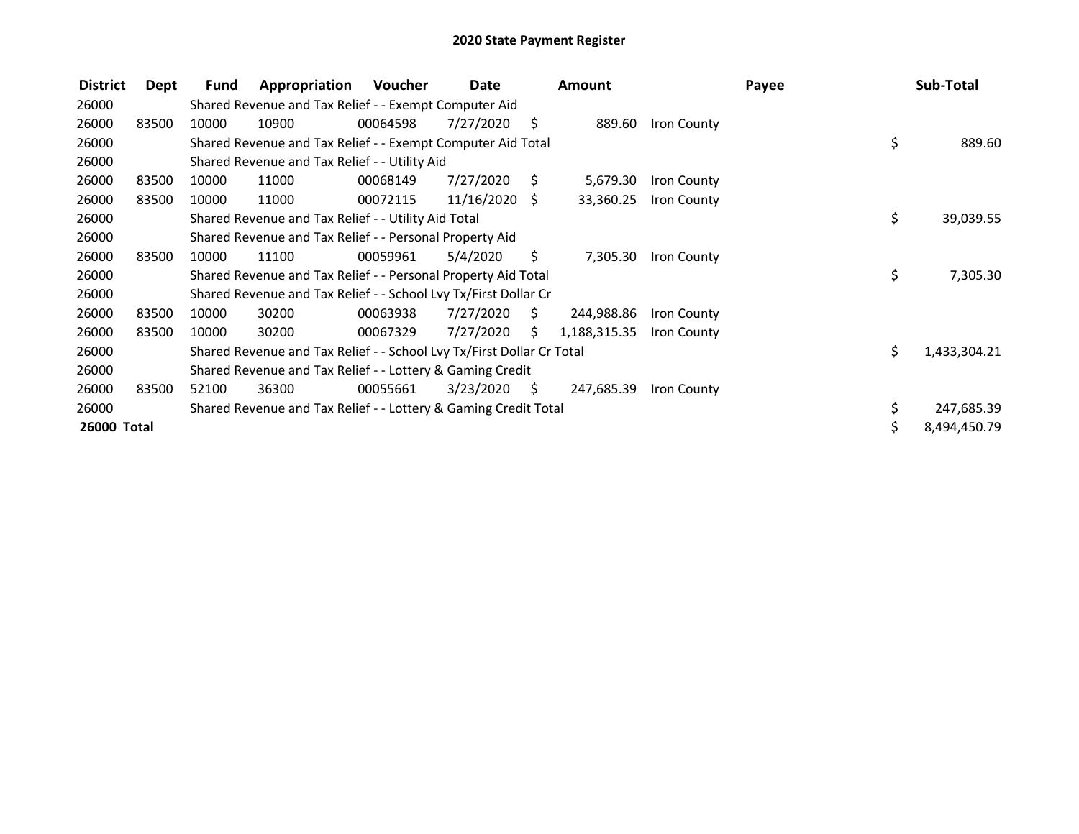| <b>District</b> | Dept  | Fund  | Appropriation                                                         | Voucher  | Date            |      | <b>Amount</b> |             | Payee |     | Sub-Total    |
|-----------------|-------|-------|-----------------------------------------------------------------------|----------|-----------------|------|---------------|-------------|-------|-----|--------------|
| 26000           |       |       | Shared Revenue and Tax Relief - - Exempt Computer Aid                 |          |                 |      |               |             |       |     |              |
| 26000           | 83500 | 10000 | 10900                                                                 | 00064598 | 7/27/2020       | \$   | 889.60        | Iron County |       |     |              |
| 26000           |       |       | Shared Revenue and Tax Relief - - Exempt Computer Aid Total           |          |                 |      |               |             |       | \$  | 889.60       |
| 26000           |       |       | Shared Revenue and Tax Relief - - Utility Aid                         |          |                 |      |               |             |       |     |              |
| 26000           | 83500 | 10000 | 11000                                                                 | 00068149 | 7/27/2020       | S.   | 5,679.30      | Iron County |       |     |              |
| 26000           | 83500 | 10000 | 11000                                                                 | 00072115 | $11/16/2020$ \$ |      | 33,360.25     | Iron County |       |     |              |
| 26000           |       |       | Shared Revenue and Tax Relief - - Utility Aid Total                   |          |                 |      |               |             |       | \$  | 39,039.55    |
| 26000           |       |       | Shared Revenue and Tax Relief - - Personal Property Aid               |          |                 |      |               |             |       |     |              |
| 26000           | 83500 | 10000 | 11100                                                                 | 00059961 | 5/4/2020        | S.   | 7,305.30      | Iron County |       |     |              |
| 26000           |       |       | Shared Revenue and Tax Relief - - Personal Property Aid Total         |          |                 |      |               |             |       | \$  | 7,305.30     |
| 26000           |       |       | Shared Revenue and Tax Relief - - School Lvy Tx/First Dollar Cr       |          |                 |      |               |             |       |     |              |
| 26000           | 83500 | 10000 | 30200                                                                 | 00063938 | 7/27/2020       | - \$ | 244,988.86    | Iron County |       |     |              |
| 26000           | 83500 | 10000 | 30200                                                                 | 00067329 | 7/27/2020       | S.   | 1,188,315.35  | Iron County |       |     |              |
| 26000           |       |       | Shared Revenue and Tax Relief - - School Lvy Tx/First Dollar Cr Total |          |                 |      |               |             |       | \$. | 1,433,304.21 |
| 26000           |       |       | Shared Revenue and Tax Relief - - Lottery & Gaming Credit             |          |                 |      |               |             |       |     |              |
| 26000           | 83500 | 52100 | 36300                                                                 | 00055661 | 3/23/2020       | S.   | 247,685.39    | Iron County |       |     |              |
| 26000           |       |       | Shared Revenue and Tax Relief - - Lottery & Gaming Credit Total       |          |                 |      |               |             |       |     | 247,685.39   |
| 26000 Total     |       |       |                                                                       |          |                 |      |               |             |       | \$  | 8,494,450.79 |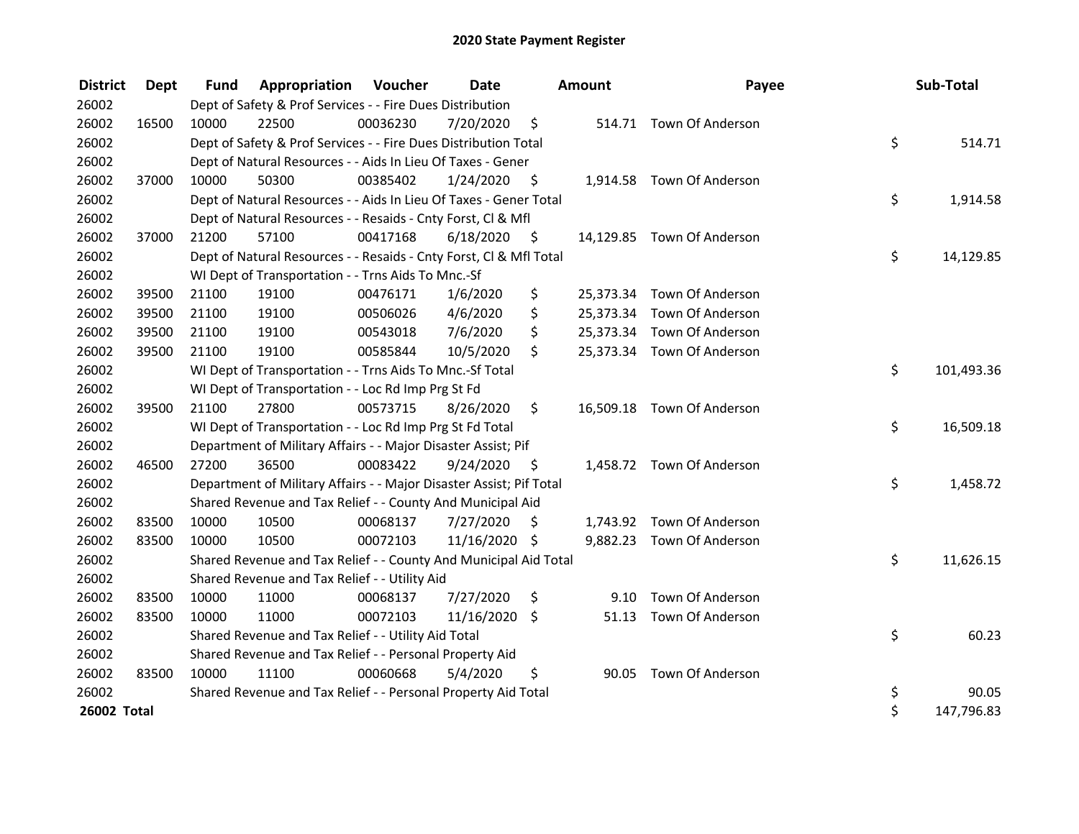| <b>District</b> | Dept  | <b>Fund</b> | <b>Appropriation Voucher</b>                                        |          | Date          |      | <b>Amount</b> | Payee                      | Sub-Total        |
|-----------------|-------|-------------|---------------------------------------------------------------------|----------|---------------|------|---------------|----------------------------|------------------|
| 26002           |       |             | Dept of Safety & Prof Services - - Fire Dues Distribution           |          |               |      |               |                            |                  |
| 26002           | 16500 | 10000       | 22500                                                               | 00036230 | 7/20/2020     | \$   |               | 514.71 Town Of Anderson    |                  |
| 26002           |       |             | Dept of Safety & Prof Services - - Fire Dues Distribution Total     |          |               |      |               |                            | \$<br>514.71     |
| 26002           |       |             | Dept of Natural Resources - - Aids In Lieu Of Taxes - Gener         |          |               |      |               |                            |                  |
| 26002           | 37000 | 10000       | 50300                                                               | 00385402 | 1/24/2020     | \$   |               | 1,914.58 Town Of Anderson  |                  |
| 26002           |       |             | Dept of Natural Resources - - Aids In Lieu Of Taxes - Gener Total   |          |               |      |               |                            | \$<br>1,914.58   |
| 26002           |       |             | Dept of Natural Resources - - Resaids - Cnty Forst, Cl & Mfl        |          |               |      |               |                            |                  |
| 26002           | 37000 | 21200       | 57100                                                               | 00417168 | 6/18/2020     | - \$ |               | 14,129.85 Town Of Anderson |                  |
| 26002           |       |             | Dept of Natural Resources - - Resaids - Cnty Forst, Cl & Mfl Total  |          |               |      |               |                            | \$<br>14,129.85  |
| 26002           |       |             | WI Dept of Transportation - - Trns Aids To Mnc.-Sf                  |          |               |      |               |                            |                  |
| 26002           | 39500 | 21100       | 19100                                                               | 00476171 | 1/6/2020      | \$   |               | 25,373.34 Town Of Anderson |                  |
| 26002           | 39500 | 21100       | 19100                                                               | 00506026 | 4/6/2020      | \$   |               | 25,373.34 Town Of Anderson |                  |
| 26002           | 39500 | 21100       | 19100                                                               | 00543018 | 7/6/2020      | \$   |               | 25,373.34 Town Of Anderson |                  |
| 26002           | 39500 | 21100       | 19100                                                               | 00585844 | 10/5/2020     | \$   |               | 25,373.34 Town Of Anderson |                  |
| 26002           |       |             | WI Dept of Transportation - - Trns Aids To Mnc.-Sf Total            |          |               |      |               |                            | \$<br>101,493.36 |
| 26002           |       |             | WI Dept of Transportation - - Loc Rd Imp Prg St Fd                  |          |               |      |               |                            |                  |
| 26002           | 39500 | 21100       | 27800                                                               | 00573715 | 8/26/2020     | \$   |               | 16,509.18 Town Of Anderson |                  |
| 26002           |       |             | WI Dept of Transportation - - Loc Rd Imp Prg St Fd Total            |          |               |      |               |                            | \$<br>16,509.18  |
| 26002           |       |             | Department of Military Affairs - - Major Disaster Assist; Pif       |          |               |      |               |                            |                  |
| 26002           | 46500 | 27200       | 36500                                                               | 00083422 | 9/24/2020     | - \$ |               | 1,458.72 Town Of Anderson  |                  |
| 26002           |       |             | Department of Military Affairs - - Major Disaster Assist; Pif Total |          |               |      |               |                            | \$<br>1,458.72   |
| 26002           |       |             | Shared Revenue and Tax Relief - - County And Municipal Aid          |          |               |      |               |                            |                  |
| 26002           | 83500 | 10000       | 10500                                                               | 00068137 | 7/27/2020     | \$   |               | 1,743.92 Town Of Anderson  |                  |
| 26002           | 83500 | 10000       | 10500                                                               | 00072103 | 11/16/2020 \$ |      |               | 9,882.23 Town Of Anderson  |                  |
| 26002           |       |             | Shared Revenue and Tax Relief - - County And Municipal Aid Total    |          |               |      |               |                            | \$<br>11,626.15  |
| 26002           |       |             | Shared Revenue and Tax Relief - - Utility Aid                       |          |               |      |               |                            |                  |
| 26002           | 83500 | 10000       | 11000                                                               | 00068137 | 7/27/2020     | \$   | 9.10          | Town Of Anderson           |                  |
| 26002           | 83500 | 10000       | 11000                                                               | 00072103 | 11/16/2020 \$ |      |               | 51.13 Town Of Anderson     |                  |
| 26002           |       |             | Shared Revenue and Tax Relief - - Utility Aid Total                 |          |               |      |               |                            | \$<br>60.23      |
| 26002           |       |             | Shared Revenue and Tax Relief - - Personal Property Aid             |          |               |      |               |                            |                  |
| 26002           | 83500 | 10000       | 11100                                                               | 00060668 | 5/4/2020      | \$   | 90.05         | <b>Town Of Anderson</b>    |                  |
| 26002           |       |             | Shared Revenue and Tax Relief - - Personal Property Aid Total       |          |               |      |               |                            | \$<br>90.05      |
| 26002 Total     |       |             |                                                                     |          |               |      |               |                            | \$<br>147,796.83 |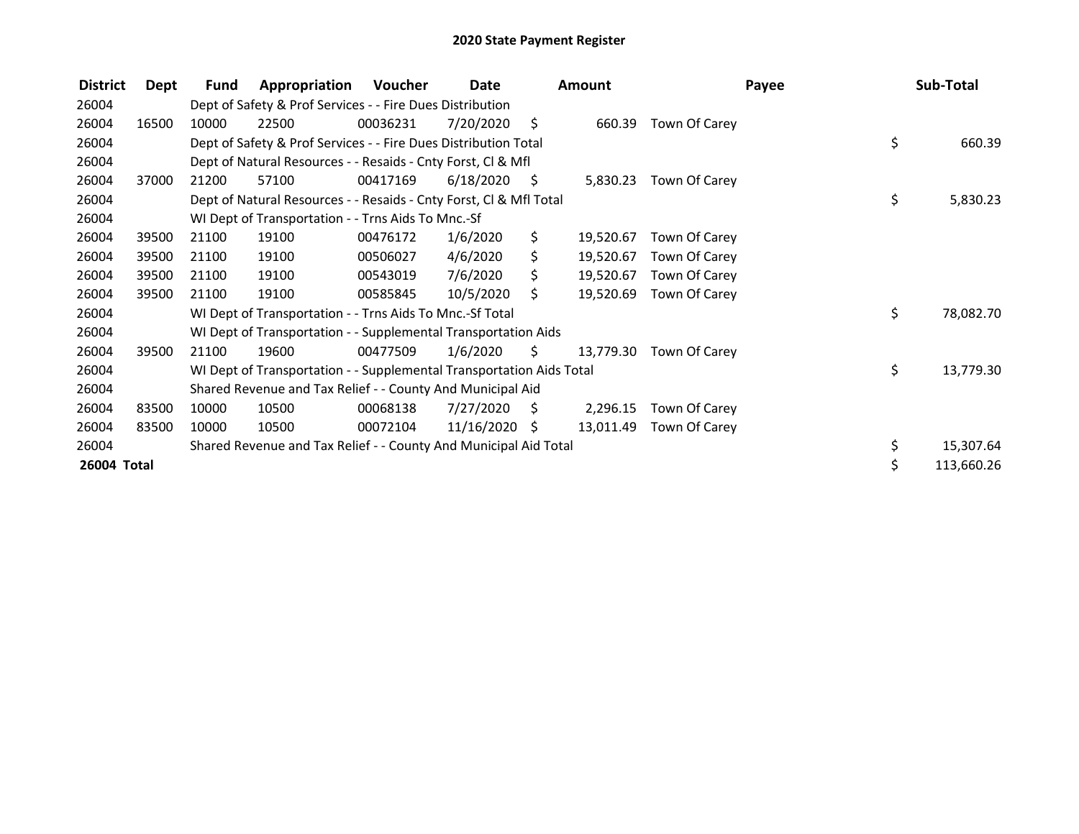| <b>District</b> | Dept  | Fund  | Appropriation                                                        | Voucher  | Date            |      | <b>Amount</b> |               | Payee | Sub-Total  |
|-----------------|-------|-------|----------------------------------------------------------------------|----------|-----------------|------|---------------|---------------|-------|------------|
| 26004           |       |       | Dept of Safety & Prof Services - - Fire Dues Distribution            |          |                 |      |               |               |       |            |
| 26004           | 16500 | 10000 | 22500                                                                | 00036231 | 7/20/2020       | - \$ | 660.39        | Town Of Carey |       |            |
| 26004           |       |       | Dept of Safety & Prof Services - - Fire Dues Distribution Total      |          |                 |      |               |               | \$    | 660.39     |
| 26004           |       |       | Dept of Natural Resources - - Resaids - Cnty Forst, CI & Mfl         |          |                 |      |               |               |       |            |
| 26004           | 37000 | 21200 | 57100                                                                | 00417169 | 6/18/2020       | - \$ | 5,830.23      | Town Of Carey |       |            |
| 26004           |       |       | Dept of Natural Resources - - Resaids - Cnty Forst, Cl & Mfl Total   |          |                 |      |               |               | \$    | 5,830.23   |
| 26004           |       |       | WI Dept of Transportation - - Trns Aids To Mnc.-Sf                   |          |                 |      |               |               |       |            |
| 26004           | 39500 | 21100 | 19100                                                                | 00476172 | 1/6/2020        | \$.  | 19,520.67     | Town Of Carey |       |            |
| 26004           | 39500 | 21100 | 19100                                                                | 00506027 | 4/6/2020        | \$.  | 19,520.67     | Town Of Carey |       |            |
| 26004           | 39500 | 21100 | 19100                                                                | 00543019 | 7/6/2020        | S.   | 19,520.67     | Town Of Carey |       |            |
| 26004           | 39500 | 21100 | 19100                                                                | 00585845 | 10/5/2020       | S.   | 19,520.69     | Town Of Carey |       |            |
| 26004           |       |       | WI Dept of Transportation - - Trns Aids To Mnc.-Sf Total             |          |                 |      |               |               | \$    | 78,082.70  |
| 26004           |       |       | WI Dept of Transportation - - Supplemental Transportation Aids       |          |                 |      |               |               |       |            |
| 26004           | 39500 | 21100 | 19600                                                                | 00477509 | 1/6/2020        | \$.  | 13,779.30     | Town Of Carey |       |            |
| 26004           |       |       | WI Dept of Transportation - - Supplemental Transportation Aids Total |          |                 |      |               |               | \$    | 13,779.30  |
| 26004           |       |       | Shared Revenue and Tax Relief - - County And Municipal Aid           |          |                 |      |               |               |       |            |
| 26004           | 83500 | 10000 | 10500                                                                | 00068138 | 7/27/2020       | - \$ | 2,296.15      | Town Of Carey |       |            |
| 26004           | 83500 | 10000 | 10500                                                                | 00072104 | $11/16/2020$ \$ |      | 13,011.49     | Town Of Carey |       |            |
| 26004           |       |       | Shared Revenue and Tax Relief - - County And Municipal Aid Total     |          |                 |      |               |               | \$.   | 15,307.64  |
| 26004 Total     |       |       |                                                                      |          |                 |      |               |               |       | 113,660.26 |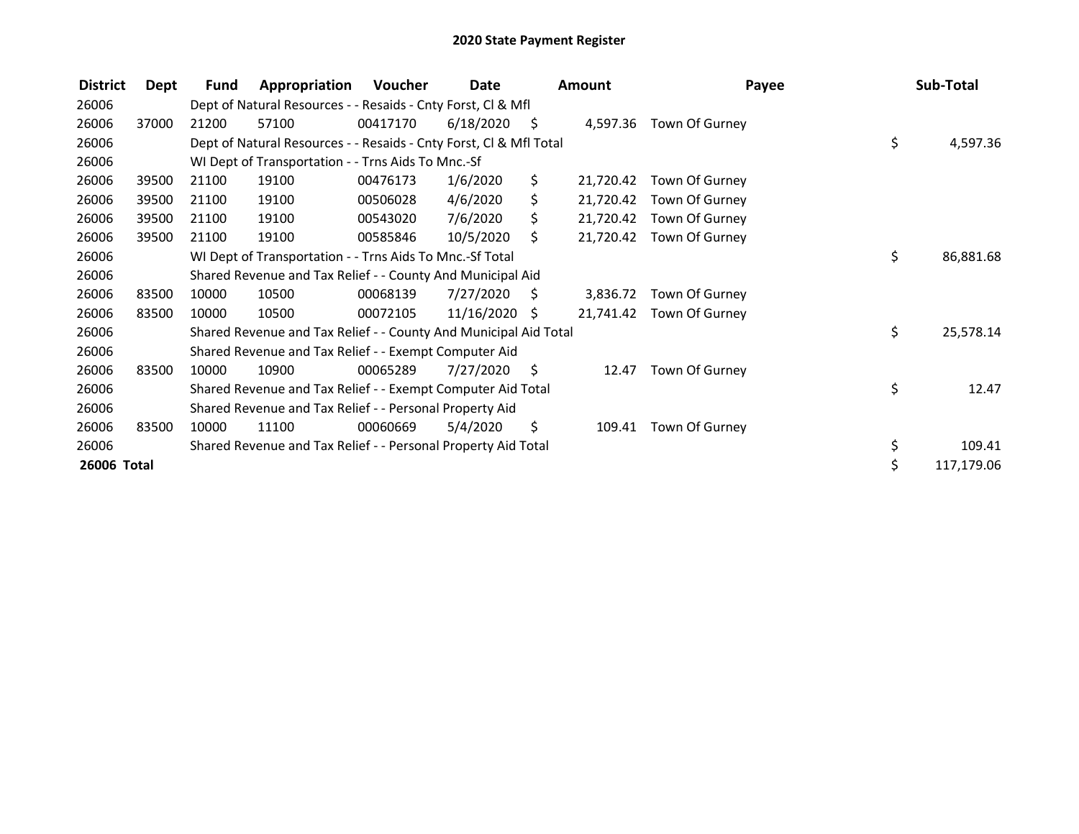| 26006<br>Dept of Natural Resources - - Resaids - Cnty Forst, CI & Mfl<br>26006<br>57100<br>00417170<br>6/18/2020<br>37000<br>21200<br>S<br>4,597.36 Town Of Gurney<br>\$<br>26006<br>Dept of Natural Resources - - Resaids - Cnty Forst, Cl & Mfl Total<br>26006<br>WI Dept of Transportation - - Trns Aids To Mnc.-Sf<br>\$.<br>26006<br>00476173<br>1/6/2020<br>39500<br>21100<br>19100<br>Town Of Gurney<br>21,720.42<br>4/6/2020<br>\$.<br>26006<br>39500<br>21100<br>19100<br>00506028<br>21,720.42<br>Town Of Gurney<br>26006<br>39500<br>21100<br>19100<br>00543020<br>7/6/2020<br>\$<br>21,720.42<br>Town Of Gurney<br>10/5/2020<br>26006<br>39500<br>21100<br>19100<br>00585846<br>S.<br>21,720.42<br>Town Of Gurney<br>\$<br>26006<br>WI Dept of Transportation - - Trns Aids To Mnc.-Sf Total<br>26006<br>Shared Revenue and Tax Relief - - County And Municipal Aid<br>10500<br>7/27/2020<br>26006<br>83500<br>10000<br>00068139<br>S.<br>3,836.72<br>Town Of Gurney<br>26006<br>83500<br>11/16/2020<br>10000<br>10500<br>00072105<br>21,741.42 Town Of Gurney<br>S<br>\$<br>26006<br>Shared Revenue and Tax Relief - - County And Municipal Aid Total<br>26006<br>Shared Revenue and Tax Relief - - Exempt Computer Aid<br>10900<br>00065289<br>7/27/2020<br>26006<br>83500<br>10000<br>- \$<br>Town Of Gurney<br>12.47<br>\$<br>26006<br>Shared Revenue and Tax Relief - - Exempt Computer Aid Total<br>26006<br>Shared Revenue and Tax Relief - - Personal Property Aid | <b>District</b> | Dept | Fund | Appropriation | Voucher | Date | <b>Amount</b> | Payee | Sub-Total  |
|----------------------------------------------------------------------------------------------------------------------------------------------------------------------------------------------------------------------------------------------------------------------------------------------------------------------------------------------------------------------------------------------------------------------------------------------------------------------------------------------------------------------------------------------------------------------------------------------------------------------------------------------------------------------------------------------------------------------------------------------------------------------------------------------------------------------------------------------------------------------------------------------------------------------------------------------------------------------------------------------------------------------------------------------------------------------------------------------------------------------------------------------------------------------------------------------------------------------------------------------------------------------------------------------------------------------------------------------------------------------------------------------------------------------------------------------------------------------------------------|-----------------|------|------|---------------|---------|------|---------------|-------|------------|
|                                                                                                                                                                                                                                                                                                                                                                                                                                                                                                                                                                                                                                                                                                                                                                                                                                                                                                                                                                                                                                                                                                                                                                                                                                                                                                                                                                                                                                                                                        |                 |      |      |               |         |      |               |       |            |
|                                                                                                                                                                                                                                                                                                                                                                                                                                                                                                                                                                                                                                                                                                                                                                                                                                                                                                                                                                                                                                                                                                                                                                                                                                                                                                                                                                                                                                                                                        |                 |      |      |               |         |      |               |       |            |
|                                                                                                                                                                                                                                                                                                                                                                                                                                                                                                                                                                                                                                                                                                                                                                                                                                                                                                                                                                                                                                                                                                                                                                                                                                                                                                                                                                                                                                                                                        |                 |      |      |               |         |      |               |       | 4,597.36   |
|                                                                                                                                                                                                                                                                                                                                                                                                                                                                                                                                                                                                                                                                                                                                                                                                                                                                                                                                                                                                                                                                                                                                                                                                                                                                                                                                                                                                                                                                                        |                 |      |      |               |         |      |               |       |            |
|                                                                                                                                                                                                                                                                                                                                                                                                                                                                                                                                                                                                                                                                                                                                                                                                                                                                                                                                                                                                                                                                                                                                                                                                                                                                                                                                                                                                                                                                                        |                 |      |      |               |         |      |               |       |            |
|                                                                                                                                                                                                                                                                                                                                                                                                                                                                                                                                                                                                                                                                                                                                                                                                                                                                                                                                                                                                                                                                                                                                                                                                                                                                                                                                                                                                                                                                                        |                 |      |      |               |         |      |               |       |            |
|                                                                                                                                                                                                                                                                                                                                                                                                                                                                                                                                                                                                                                                                                                                                                                                                                                                                                                                                                                                                                                                                                                                                                                                                                                                                                                                                                                                                                                                                                        |                 |      |      |               |         |      |               |       |            |
|                                                                                                                                                                                                                                                                                                                                                                                                                                                                                                                                                                                                                                                                                                                                                                                                                                                                                                                                                                                                                                                                                                                                                                                                                                                                                                                                                                                                                                                                                        |                 |      |      |               |         |      |               |       |            |
|                                                                                                                                                                                                                                                                                                                                                                                                                                                                                                                                                                                                                                                                                                                                                                                                                                                                                                                                                                                                                                                                                                                                                                                                                                                                                                                                                                                                                                                                                        |                 |      |      |               |         |      |               |       | 86,881.68  |
|                                                                                                                                                                                                                                                                                                                                                                                                                                                                                                                                                                                                                                                                                                                                                                                                                                                                                                                                                                                                                                                                                                                                                                                                                                                                                                                                                                                                                                                                                        |                 |      |      |               |         |      |               |       |            |
|                                                                                                                                                                                                                                                                                                                                                                                                                                                                                                                                                                                                                                                                                                                                                                                                                                                                                                                                                                                                                                                                                                                                                                                                                                                                                                                                                                                                                                                                                        |                 |      |      |               |         |      |               |       |            |
|                                                                                                                                                                                                                                                                                                                                                                                                                                                                                                                                                                                                                                                                                                                                                                                                                                                                                                                                                                                                                                                                                                                                                                                                                                                                                                                                                                                                                                                                                        |                 |      |      |               |         |      |               |       |            |
|                                                                                                                                                                                                                                                                                                                                                                                                                                                                                                                                                                                                                                                                                                                                                                                                                                                                                                                                                                                                                                                                                                                                                                                                                                                                                                                                                                                                                                                                                        |                 |      |      |               |         |      |               |       | 25,578.14  |
|                                                                                                                                                                                                                                                                                                                                                                                                                                                                                                                                                                                                                                                                                                                                                                                                                                                                                                                                                                                                                                                                                                                                                                                                                                                                                                                                                                                                                                                                                        |                 |      |      |               |         |      |               |       |            |
|                                                                                                                                                                                                                                                                                                                                                                                                                                                                                                                                                                                                                                                                                                                                                                                                                                                                                                                                                                                                                                                                                                                                                                                                                                                                                                                                                                                                                                                                                        |                 |      |      |               |         |      |               |       |            |
|                                                                                                                                                                                                                                                                                                                                                                                                                                                                                                                                                                                                                                                                                                                                                                                                                                                                                                                                                                                                                                                                                                                                                                                                                                                                                                                                                                                                                                                                                        |                 |      |      |               |         |      |               |       | 12.47      |
|                                                                                                                                                                                                                                                                                                                                                                                                                                                                                                                                                                                                                                                                                                                                                                                                                                                                                                                                                                                                                                                                                                                                                                                                                                                                                                                                                                                                                                                                                        |                 |      |      |               |         |      |               |       |            |
| 26006<br>83500<br>5/4/2020<br>\$<br>10000<br>11100<br>00060669<br>109.41<br>Town Of Gurney                                                                                                                                                                                                                                                                                                                                                                                                                                                                                                                                                                                                                                                                                                                                                                                                                                                                                                                                                                                                                                                                                                                                                                                                                                                                                                                                                                                             |                 |      |      |               |         |      |               |       |            |
| \$<br>26006<br>Shared Revenue and Tax Relief - - Personal Property Aid Total                                                                                                                                                                                                                                                                                                                                                                                                                                                                                                                                                                                                                                                                                                                                                                                                                                                                                                                                                                                                                                                                                                                                                                                                                                                                                                                                                                                                           |                 |      |      |               |         |      |               |       | 109.41     |
| \$<br>26006 Total                                                                                                                                                                                                                                                                                                                                                                                                                                                                                                                                                                                                                                                                                                                                                                                                                                                                                                                                                                                                                                                                                                                                                                                                                                                                                                                                                                                                                                                                      |                 |      |      |               |         |      |               |       | 117,179.06 |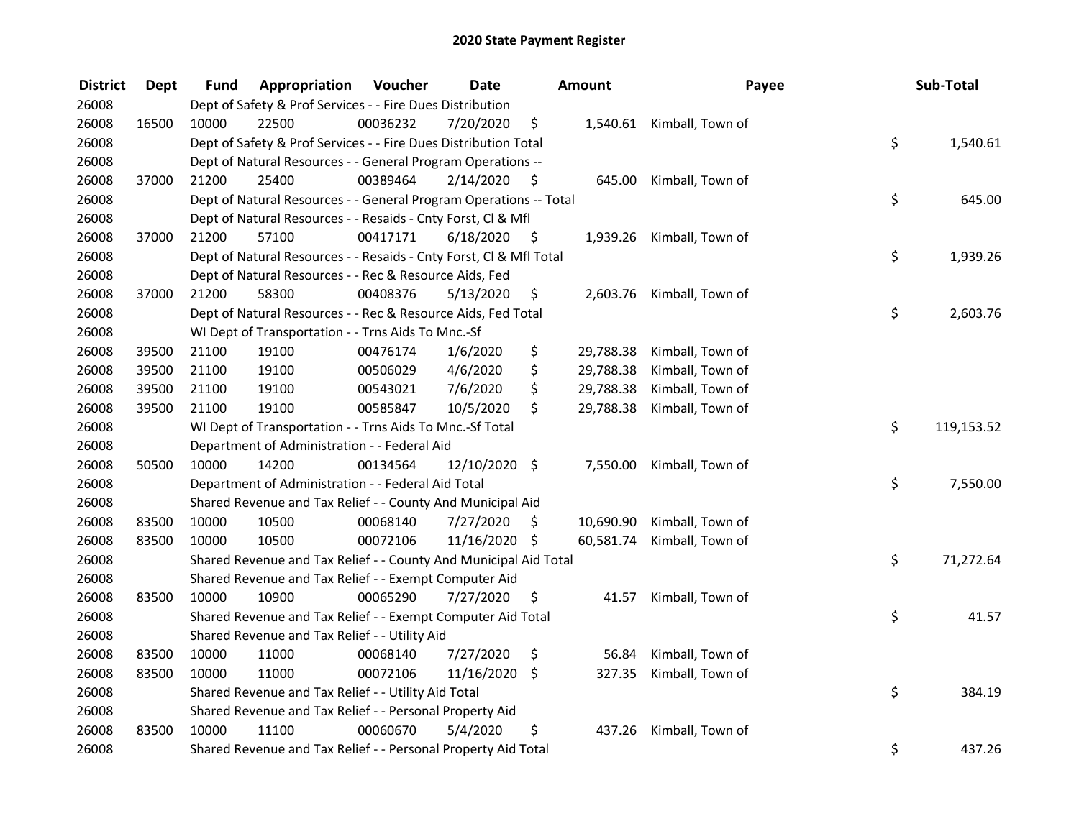| <b>District</b> | <b>Dept</b> | Fund  | Appropriation                                                      | Voucher  | <b>Date</b>   |      | <b>Amount</b> | Payee                     | Sub-Total        |
|-----------------|-------------|-------|--------------------------------------------------------------------|----------|---------------|------|---------------|---------------------------|------------------|
| 26008           |             |       | Dept of Safety & Prof Services - - Fire Dues Distribution          |          |               |      |               |                           |                  |
| 26008           | 16500       | 10000 | 22500                                                              | 00036232 | 7/20/2020     | \$   |               | 1,540.61 Kimball, Town of |                  |
| 26008           |             |       | Dept of Safety & Prof Services - - Fire Dues Distribution Total    |          |               |      |               |                           | \$<br>1,540.61   |
| 26008           |             |       | Dept of Natural Resources - - General Program Operations --        |          |               |      |               |                           |                  |
| 26008           | 37000       | 21200 | 25400                                                              | 00389464 | 2/14/2020     | \$   | 645.00        | Kimball, Town of          |                  |
| 26008           |             |       | Dept of Natural Resources - - General Program Operations -- Total  |          |               |      |               |                           | \$<br>645.00     |
| 26008           |             |       | Dept of Natural Resources - - Resaids - Cnty Forst, CI & Mfl       |          |               |      |               |                           |                  |
| 26008           | 37000       | 21200 | 57100                                                              | 00417171 | 6/18/2020     | - \$ | 1,939.26      | Kimball, Town of          |                  |
| 26008           |             |       | Dept of Natural Resources - - Resaids - Cnty Forst, Cl & Mfl Total |          |               |      |               |                           | \$<br>1,939.26   |
| 26008           |             |       | Dept of Natural Resources - - Rec & Resource Aids, Fed             |          |               |      |               |                           |                  |
| 26008           | 37000       | 21200 | 58300                                                              | 00408376 | 5/13/2020     | \$   | 2,603.76      | Kimball, Town of          |                  |
| 26008           |             |       | Dept of Natural Resources - - Rec & Resource Aids, Fed Total       |          |               |      |               |                           | \$<br>2,603.76   |
| 26008           |             |       | WI Dept of Transportation - - Trns Aids To Mnc.-Sf                 |          |               |      |               |                           |                  |
| 26008           | 39500       | 21100 | 19100                                                              | 00476174 | 1/6/2020      | \$   | 29,788.38     | Kimball, Town of          |                  |
| 26008           | 39500       | 21100 | 19100                                                              | 00506029 | 4/6/2020      | \$   | 29,788.38     | Kimball, Town of          |                  |
| 26008           | 39500       | 21100 | 19100                                                              | 00543021 | 7/6/2020      | \$   | 29,788.38     | Kimball, Town of          |                  |
| 26008           | 39500       | 21100 | 19100                                                              | 00585847 | 10/5/2020     | \$   | 29,788.38     | Kimball, Town of          |                  |
| 26008           |             |       | WI Dept of Transportation - - Trns Aids To Mnc.-Sf Total           |          |               |      |               |                           | \$<br>119,153.52 |
| 26008           |             |       | Department of Administration - - Federal Aid                       |          |               |      |               |                           |                  |
| 26008           | 50500       | 10000 | 14200                                                              | 00134564 | 12/10/2020 \$ |      | 7,550.00      | Kimball, Town of          |                  |
| 26008           |             |       | Department of Administration - - Federal Aid Total                 |          |               |      |               |                           | \$<br>7,550.00   |
| 26008           |             |       | Shared Revenue and Tax Relief - - County And Municipal Aid         |          |               |      |               |                           |                  |
| 26008           | 83500       | 10000 | 10500                                                              | 00068140 | 7/27/2020     | \$.  | 10,690.90     | Kimball, Town of          |                  |
| 26008           | 83500       | 10000 | 10500                                                              | 00072106 | 11/16/2020 \$ |      | 60,581.74     | Kimball, Town of          |                  |
| 26008           |             |       | Shared Revenue and Tax Relief - - County And Municipal Aid Total   |          |               |      |               |                           | \$<br>71,272.64  |
| 26008           |             |       | Shared Revenue and Tax Relief - - Exempt Computer Aid              |          |               |      |               |                           |                  |
| 26008           | 83500       | 10000 | 10900                                                              | 00065290 | 7/27/2020     | \$   | 41.57         | Kimball, Town of          |                  |
| 26008           |             |       | Shared Revenue and Tax Relief - - Exempt Computer Aid Total        |          |               |      |               |                           | \$<br>41.57      |
| 26008           |             |       | Shared Revenue and Tax Relief - - Utility Aid                      |          |               |      |               |                           |                  |
| 26008           | 83500       | 10000 | 11000                                                              | 00068140 | 7/27/2020     | \$   | 56.84         | Kimball, Town of          |                  |
| 26008           | 83500       | 10000 | 11000                                                              | 00072106 | 11/16/2020    | \$   | 327.35        | Kimball, Town of          |                  |
| 26008           |             |       | Shared Revenue and Tax Relief - - Utility Aid Total                |          |               |      |               |                           | \$<br>384.19     |
| 26008           |             |       | Shared Revenue and Tax Relief - - Personal Property Aid            |          |               |      |               |                           |                  |
| 26008           | 83500       | 10000 | 11100                                                              | 00060670 | 5/4/2020      | \$   | 437.26        | Kimball, Town of          |                  |
| 26008           |             |       | Shared Revenue and Tax Relief - - Personal Property Aid Total      |          |               |      |               |                           | \$<br>437.26     |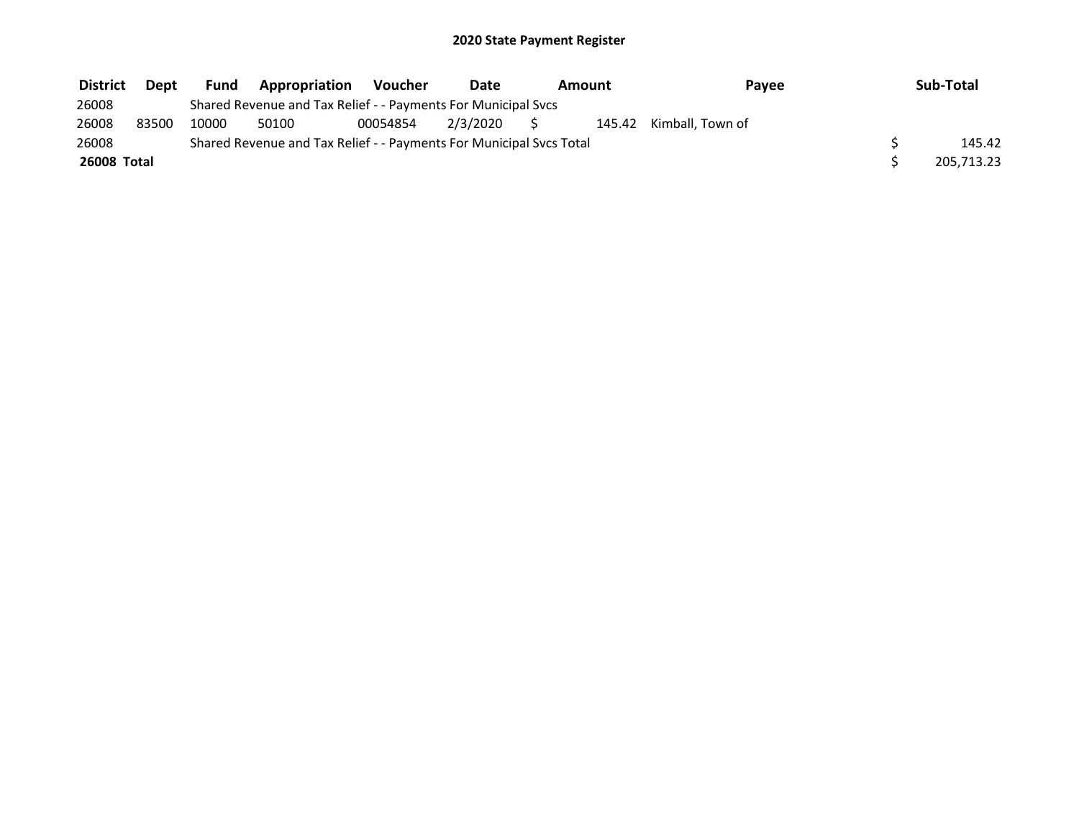| <b>District</b>    | Dept  | <b>Fund</b> | Appropriation                                                       | Voucher  | Date     | Amount<br>Payee |  |                         | Sub-Total  |
|--------------------|-------|-------------|---------------------------------------------------------------------|----------|----------|-----------------|--|-------------------------|------------|
| 26008              |       |             | Shared Revenue and Tax Relief - - Payments For Municipal Svcs       |          |          |                 |  |                         |            |
| 26008              | 83500 | 10000       | 50100                                                               | 00054854 | 2/3/2020 |                 |  | 145.42 Kimball, Town of |            |
| 26008              |       |             | Shared Revenue and Tax Relief - - Payments For Municipal Svcs Total |          |          |                 |  |                         | 145.42     |
| <b>26008 Total</b> |       |             |                                                                     |          |          |                 |  |                         | 205,713.23 |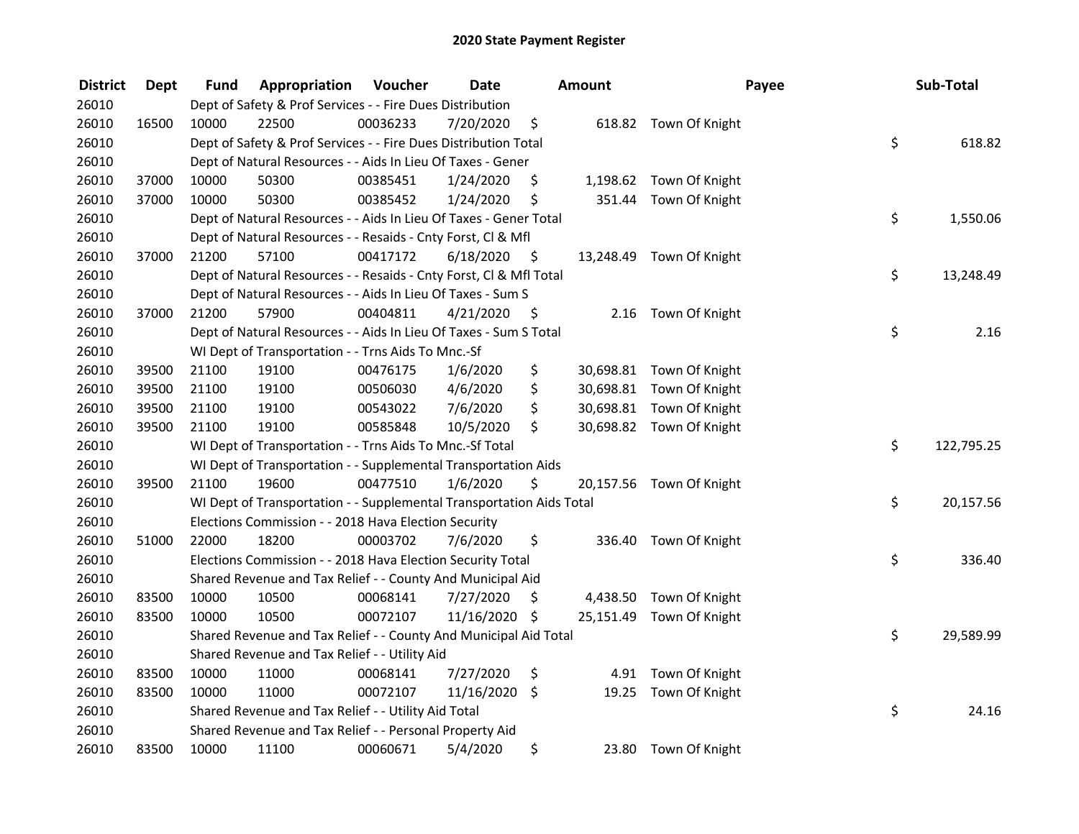| <b>District</b> | Dept  | Fund  | Appropriation                                                        | Voucher  | <b>Date</b>   |      | <b>Amount</b> |                          | Payee | Sub-Total  |
|-----------------|-------|-------|----------------------------------------------------------------------|----------|---------------|------|---------------|--------------------------|-------|------------|
| 26010           |       |       | Dept of Safety & Prof Services - - Fire Dues Distribution            |          |               |      |               |                          |       |            |
| 26010           | 16500 | 10000 | 22500                                                                | 00036233 | 7/20/2020     | \$   |               | 618.82 Town Of Knight    |       |            |
| 26010           |       |       | Dept of Safety & Prof Services - - Fire Dues Distribution Total      |          |               |      |               |                          | \$    | 618.82     |
| 26010           |       |       | Dept of Natural Resources - - Aids In Lieu Of Taxes - Gener          |          |               |      |               |                          |       |            |
| 26010           | 37000 | 10000 | 50300                                                                | 00385451 | 1/24/2020     | \$   |               | 1,198.62 Town Of Knight  |       |            |
| 26010           | 37000 | 10000 | 50300                                                                | 00385452 | 1/24/2020     | \$   |               | 351.44 Town Of Knight    |       |            |
| 26010           |       |       | Dept of Natural Resources - - Aids In Lieu Of Taxes - Gener Total    |          |               |      |               |                          | \$    | 1,550.06   |
| 26010           |       |       | Dept of Natural Resources - - Resaids - Cnty Forst, Cl & Mfl         |          |               |      |               |                          |       |            |
| 26010           | 37000 | 21200 | 57100                                                                | 00417172 | 6/18/2020     | - \$ |               | 13,248.49 Town Of Knight |       |            |
| 26010           |       |       | Dept of Natural Resources - - Resaids - Cnty Forst, Cl & Mfl Total   |          |               |      |               |                          | \$    | 13,248.49  |
| 26010           |       |       | Dept of Natural Resources - - Aids In Lieu Of Taxes - Sum S          |          |               |      |               |                          |       |            |
| 26010           | 37000 | 21200 | 57900                                                                | 00404811 | 4/21/2020     | -\$  |               | 2.16 Town Of Knight      |       |            |
| 26010           |       |       | Dept of Natural Resources - - Aids In Lieu Of Taxes - Sum S Total    |          |               |      |               |                          | \$    | 2.16       |
| 26010           |       |       | WI Dept of Transportation - - Trns Aids To Mnc.-Sf                   |          |               |      |               |                          |       |            |
| 26010           | 39500 | 21100 | 19100                                                                | 00476175 | 1/6/2020      | \$   |               | 30,698.81 Town Of Knight |       |            |
| 26010           | 39500 | 21100 | 19100                                                                | 00506030 | 4/6/2020      | \$   |               | 30,698.81 Town Of Knight |       |            |
| 26010           | 39500 | 21100 | 19100                                                                | 00543022 | 7/6/2020      | \$   |               | 30,698.81 Town Of Knight |       |            |
| 26010           | 39500 | 21100 | 19100                                                                | 00585848 | 10/5/2020     | \$   |               | 30,698.82 Town Of Knight |       |            |
| 26010           |       |       | WI Dept of Transportation - - Trns Aids To Mnc.-Sf Total             |          |               |      |               |                          | \$    | 122,795.25 |
| 26010           |       |       | WI Dept of Transportation - - Supplemental Transportation Aids       |          |               |      |               |                          |       |            |
| 26010           | 39500 | 21100 | 19600                                                                | 00477510 | 1/6/2020      | \$   |               | 20,157.56 Town Of Knight |       |            |
| 26010           |       |       | WI Dept of Transportation - - Supplemental Transportation Aids Total |          |               |      |               |                          | \$    | 20,157.56  |
| 26010           |       |       | Elections Commission - - 2018 Hava Election Security                 |          |               |      |               |                          |       |            |
| 26010           | 51000 | 22000 | 18200                                                                | 00003702 | 7/6/2020      | \$   |               | 336.40 Town Of Knight    |       |            |
| 26010           |       |       | Elections Commission - - 2018 Hava Election Security Total           |          |               |      |               |                          | \$    | 336.40     |
| 26010           |       |       | Shared Revenue and Tax Relief - - County And Municipal Aid           |          |               |      |               |                          |       |            |
| 26010           | 83500 | 10000 | 10500                                                                | 00068141 | 7/27/2020     | \$   |               | 4,438.50 Town Of Knight  |       |            |
| 26010           | 83500 | 10000 | 10500                                                                | 00072107 | 11/16/2020 \$ |      |               | 25,151.49 Town Of Knight |       |            |
| 26010           |       |       | Shared Revenue and Tax Relief - - County And Municipal Aid Total     |          |               |      |               |                          | \$    | 29,589.99  |
| 26010           |       |       | Shared Revenue and Tax Relief - - Utility Aid                        |          |               |      |               |                          |       |            |
| 26010           | 83500 | 10000 | 11000                                                                | 00068141 | 7/27/2020     | \$   |               | 4.91 Town Of Knight      |       |            |
| 26010           | 83500 | 10000 | 11000                                                                | 00072107 | 11/16/2020 \$ |      | 19.25         | Town Of Knight           |       |            |
| 26010           |       |       | Shared Revenue and Tax Relief - - Utility Aid Total                  |          |               |      |               |                          | \$    | 24.16      |
| 26010           |       |       | Shared Revenue and Tax Relief - - Personal Property Aid              |          |               |      |               |                          |       |            |
| 26010           | 83500 | 10000 | 11100                                                                | 00060671 | 5/4/2020      | \$   | 23.80         | Town Of Knight           |       |            |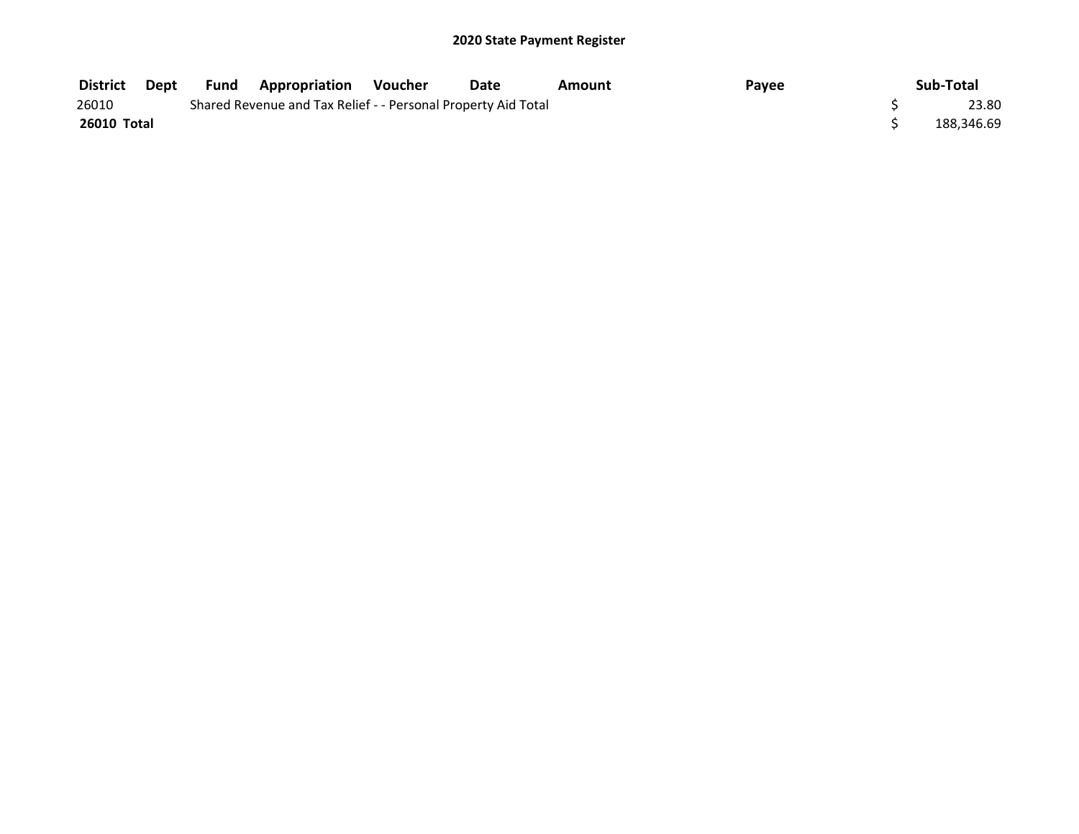| <b>District</b> | Dept | Fund | ' Appropriation                                               | Voucher | Date | Amount | Payee | Sub-Total  |
|-----------------|------|------|---------------------------------------------------------------|---------|------|--------|-------|------------|
| 26010           |      |      | Shared Revenue and Tax Relief - - Personal Property Aid Total |         |      |        |       | 23.80      |
| 26010 Total     |      |      |                                                               |         |      |        |       | 188.346.69 |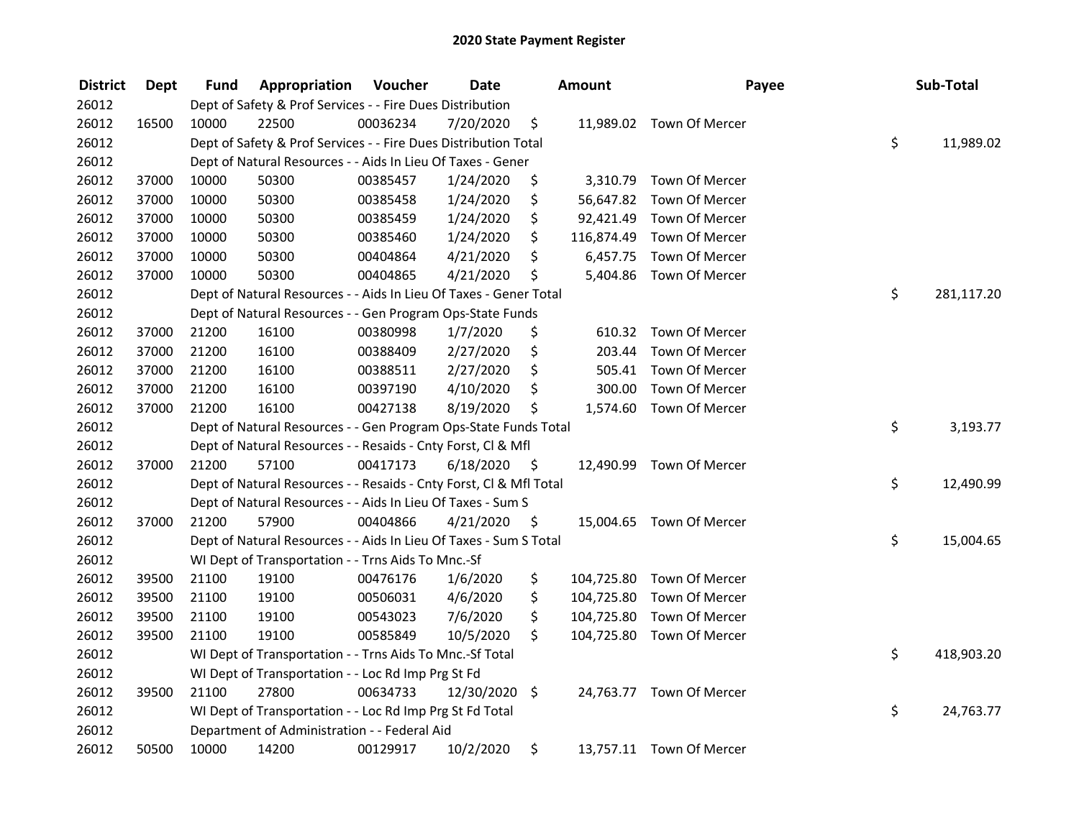| <b>District</b> | <b>Dept</b> | Fund  | Appropriation                                                      | Voucher  | <b>Date</b>   |      | <b>Amount</b> | Payee                     | Sub-Total        |
|-----------------|-------------|-------|--------------------------------------------------------------------|----------|---------------|------|---------------|---------------------------|------------------|
| 26012           |             |       | Dept of Safety & Prof Services - - Fire Dues Distribution          |          |               |      |               |                           |                  |
| 26012           | 16500       | 10000 | 22500                                                              | 00036234 | 7/20/2020     | \$   |               | 11,989.02 Town Of Mercer  |                  |
| 26012           |             |       | Dept of Safety & Prof Services - - Fire Dues Distribution Total    |          |               |      |               |                           | \$<br>11,989.02  |
| 26012           |             |       | Dept of Natural Resources - - Aids In Lieu Of Taxes - Gener        |          |               |      |               |                           |                  |
| 26012           | 37000       | 10000 | 50300                                                              | 00385457 | 1/24/2020     | \$   |               | 3,310.79 Town Of Mercer   |                  |
| 26012           | 37000       | 10000 | 50300                                                              | 00385458 | 1/24/2020     | \$   |               | 56,647.82 Town Of Mercer  |                  |
| 26012           | 37000       | 10000 | 50300                                                              | 00385459 | 1/24/2020     | \$   |               | 92,421.49 Town Of Mercer  |                  |
| 26012           | 37000       | 10000 | 50300                                                              | 00385460 | 1/24/2020     | \$   |               | 116,874.49 Town Of Mercer |                  |
| 26012           | 37000       | 10000 | 50300                                                              | 00404864 | 4/21/2020     | \$   |               | 6,457.75 Town Of Mercer   |                  |
| 26012           | 37000       | 10000 | 50300                                                              | 00404865 | 4/21/2020     | \$   |               | 5,404.86 Town Of Mercer   |                  |
| 26012           |             |       | Dept of Natural Resources - - Aids In Lieu Of Taxes - Gener Total  |          |               |      |               |                           | \$<br>281,117.20 |
| 26012           |             |       | Dept of Natural Resources - - Gen Program Ops-State Funds          |          |               |      |               |                           |                  |
| 26012           | 37000       | 21200 | 16100                                                              | 00380998 | 1/7/2020      | \$   | 610.32        | Town Of Mercer            |                  |
| 26012           | 37000       | 21200 | 16100                                                              | 00388409 | 2/27/2020     | \$   | 203.44        | Town Of Mercer            |                  |
| 26012           | 37000       | 21200 | 16100                                                              | 00388511 | 2/27/2020     | \$   | 505.41        | Town Of Mercer            |                  |
| 26012           | 37000       | 21200 | 16100                                                              | 00397190 | 4/10/2020     | \$   | 300.00        | Town Of Mercer            |                  |
| 26012           | 37000       | 21200 | 16100                                                              | 00427138 | 8/19/2020     | \$   | 1,574.60      | Town Of Mercer            |                  |
| 26012           |             |       | Dept of Natural Resources - - Gen Program Ops-State Funds Total    |          |               |      |               |                           | \$<br>3,193.77   |
| 26012           |             |       | Dept of Natural Resources - - Resaids - Cnty Forst, Cl & Mfl       |          |               |      |               |                           |                  |
| 26012           | 37000       | 21200 | 57100                                                              | 00417173 | 6/18/2020     | - \$ |               | 12,490.99 Town Of Mercer  |                  |
| 26012           |             |       | Dept of Natural Resources - - Resaids - Cnty Forst, Cl & Mfl Total |          |               |      |               |                           | \$<br>12,490.99  |
| 26012           |             |       | Dept of Natural Resources - - Aids In Lieu Of Taxes - Sum S        |          |               |      |               |                           |                  |
| 26012           | 37000       | 21200 | 57900                                                              | 00404866 | 4/21/2020     | - \$ |               | 15,004.65 Town Of Mercer  |                  |
| 26012           |             |       | Dept of Natural Resources - - Aids In Lieu Of Taxes - Sum S Total  |          |               |      |               |                           | \$<br>15,004.65  |
| 26012           |             |       | WI Dept of Transportation - - Trns Aids To Mnc.-Sf                 |          |               |      |               |                           |                  |
| 26012           | 39500       | 21100 | 19100                                                              | 00476176 | 1/6/2020      | \$   |               | 104,725.80 Town Of Mercer |                  |
| 26012           | 39500       | 21100 | 19100                                                              | 00506031 | 4/6/2020      | \$   | 104,725.80    | Town Of Mercer            |                  |
| 26012           | 39500       | 21100 | 19100                                                              | 00543023 | 7/6/2020      | \$   |               | 104,725.80 Town Of Mercer |                  |
| 26012           | 39500       | 21100 | 19100                                                              | 00585849 | 10/5/2020     | \$   |               | 104,725.80 Town Of Mercer |                  |
| 26012           |             |       | WI Dept of Transportation - - Trns Aids To Mnc.-Sf Total           |          |               |      |               |                           | \$<br>418,903.20 |
| 26012           |             |       | WI Dept of Transportation - - Loc Rd Imp Prg St Fd                 |          |               |      |               |                           |                  |
| 26012           | 39500       | 21100 | 27800                                                              | 00634733 | 12/30/2020 \$ |      |               | 24,763.77 Town Of Mercer  |                  |
| 26012           |             |       | WI Dept of Transportation - - Loc Rd Imp Prg St Fd Total           |          |               |      |               |                           | \$<br>24,763.77  |
| 26012           |             |       | Department of Administration - - Federal Aid                       |          |               |      |               |                           |                  |
| 26012           | 50500       | 10000 | 14200                                                              | 00129917 | 10/2/2020     | \$   |               | 13,757.11 Town Of Mercer  |                  |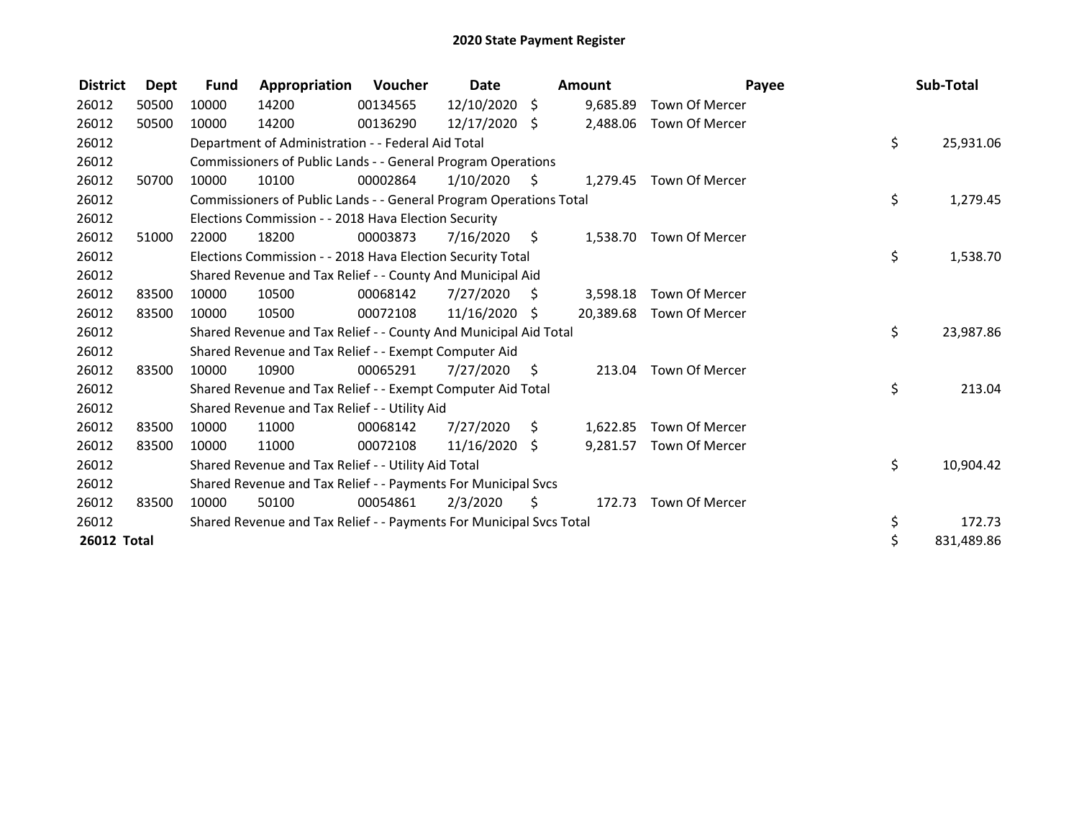| <b>District</b>    | Dept  | <b>Fund</b> | Appropriation                                                       | Voucher  | Date            |                     | <b>Amount</b> |                         | Payee | Sub-Total  |
|--------------------|-------|-------------|---------------------------------------------------------------------|----------|-----------------|---------------------|---------------|-------------------------|-------|------------|
| 26012              | 50500 | 10000       | 14200                                                               | 00134565 | 12/10/2020 \$   |                     | 9,685.89      | Town Of Mercer          |       |            |
| 26012              | 50500 | 10000       | 14200                                                               | 00136290 | 12/17/2020 \$   |                     | 2,488.06      | Town Of Mercer          |       |            |
| 26012              |       |             | Department of Administration - - Federal Aid Total                  |          |                 |                     |               |                         | \$    | 25,931.06  |
| 26012              |       |             | Commissioners of Public Lands - - General Program Operations        |          |                 |                     |               |                         |       |            |
| 26012              | 50700 | 10000       | 10100                                                               | 00002864 | 1/10/2020       | - \$                |               | 1,279.45 Town Of Mercer |       |            |
| 26012              |       |             | Commissioners of Public Lands - - General Program Operations Total  |          |                 |                     |               |                         | \$    | 1,279.45   |
| 26012              |       |             | Elections Commission - - 2018 Hava Election Security                |          |                 |                     |               |                         |       |            |
| 26012              | 51000 | 22000       | 18200                                                               | 00003873 | 7/16/2020       | $\ddot{\mathsf{S}}$ | 1,538.70      | Town Of Mercer          |       |            |
| 26012              |       |             | Elections Commission - - 2018 Hava Election Security Total          |          |                 |                     |               |                         | \$    | 1,538.70   |
| 26012              |       |             | Shared Revenue and Tax Relief - - County And Municipal Aid          |          |                 |                     |               |                         |       |            |
| 26012              | 83500 | 10000       | 10500                                                               | 00068142 | 7/27/2020       | - \$                | 3,598.18      | Town Of Mercer          |       |            |
| 26012              | 83500 | 10000       | 10500                                                               | 00072108 | 11/16/2020 \$   |                     | 20,389.68     | Town Of Mercer          |       |            |
| 26012              |       |             | Shared Revenue and Tax Relief - - County And Municipal Aid Total    |          |                 |                     |               |                         | \$    | 23,987.86  |
| 26012              |       |             | Shared Revenue and Tax Relief - - Exempt Computer Aid               |          |                 |                     |               |                         |       |            |
| 26012              | 83500 | 10000       | 10900                                                               | 00065291 | 7/27/2020       | - \$                |               | 213.04 Town Of Mercer   |       |            |
| 26012              |       |             | Shared Revenue and Tax Relief - - Exempt Computer Aid Total         |          |                 |                     |               |                         | \$    | 213.04     |
| 26012              |       |             | Shared Revenue and Tax Relief - - Utility Aid                       |          |                 |                     |               |                         |       |            |
| 26012              | 83500 | 10000       | 11000                                                               | 00068142 | 7/27/2020       | \$                  | 1,622.85      | Town Of Mercer          |       |            |
| 26012              | 83500 | 10000       | 11000                                                               | 00072108 | $11/16/2020$ \$ |                     | 9,281.57      | Town Of Mercer          |       |            |
| 26012              |       |             | Shared Revenue and Tax Relief - - Utility Aid Total                 |          |                 |                     |               |                         | \$    | 10,904.42  |
| 26012              |       |             | Shared Revenue and Tax Relief - - Payments For Municipal Svcs       |          |                 |                     |               |                         |       |            |
| 26012              | 83500 | 10000       | 50100                                                               | 00054861 | 2/3/2020        | \$.                 |               | 172.73 Town Of Mercer   |       |            |
| 26012              |       |             | Shared Revenue and Tax Relief - - Payments For Municipal Svcs Total |          |                 |                     |               |                         | \$    | 172.73     |
| <b>26012 Total</b> |       |             |                                                                     |          |                 |                     |               |                         | \$    | 831,489.86 |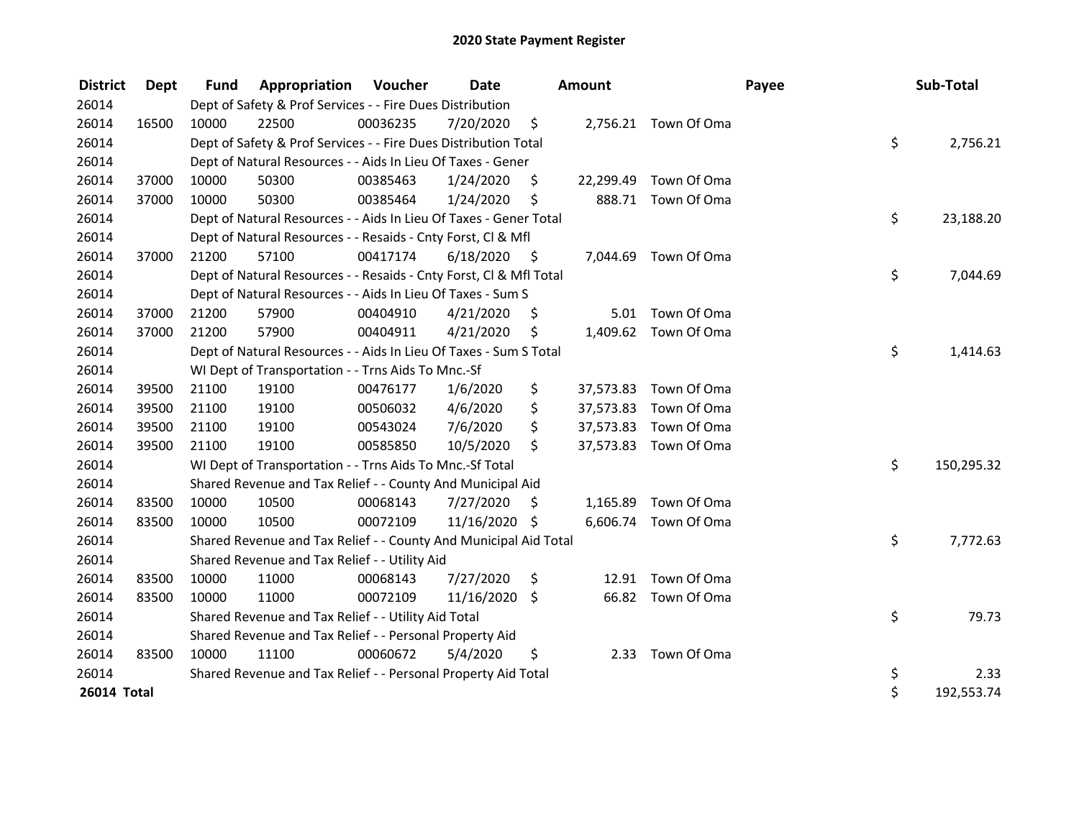| <b>District</b>    | Dept  | <b>Fund</b> | <b>Appropriation Voucher</b>                                       |          | Date          |                    | <b>Amount</b> |                       | Payee | Sub-Total  |           |
|--------------------|-------|-------------|--------------------------------------------------------------------|----------|---------------|--------------------|---------------|-----------------------|-------|------------|-----------|
| 26014              |       |             | Dept of Safety & Prof Services - - Fire Dues Distribution          |          |               |                    |               |                       |       |            |           |
| 26014              | 16500 | 10000       | 22500                                                              | 00036235 | 7/20/2020     | $\ddot{\varsigma}$ |               | 2,756.21 Town Of Oma  |       |            |           |
| 26014              |       |             | Dept of Safety & Prof Services - - Fire Dues Distribution Total    |          |               |                    |               |                       | \$    |            | 2,756.21  |
| 26014              |       |             | Dept of Natural Resources - - Aids In Lieu Of Taxes - Gener        |          |               |                    |               |                       |       |            |           |
| 26014              | 37000 | 10000       | 50300                                                              | 00385463 | 1/24/2020     | \$                 | 22,299.49     | Town Of Oma           |       |            |           |
| 26014              | 37000 | 10000       | 50300                                                              | 00385464 | 1/24/2020     | \$                 |               | 888.71 Town Of Oma    |       |            |           |
| 26014              |       |             | Dept of Natural Resources - - Aids In Lieu Of Taxes - Gener Total  |          |               |                    |               |                       | \$    |            | 23,188.20 |
| 26014              |       |             | Dept of Natural Resources - - Resaids - Cnty Forst, Cl & Mfl       |          |               |                    |               |                       |       |            |           |
| 26014              | 37000 | 21200       | 57100                                                              | 00417174 | 6/18/2020     | - \$               |               | 7,044.69 Town Of Oma  |       |            |           |
| 26014              |       |             | Dept of Natural Resources - - Resaids - Cnty Forst, Cl & Mfl Total |          |               |                    |               |                       | \$    |            | 7,044.69  |
| 26014              |       |             | Dept of Natural Resources - - Aids In Lieu Of Taxes - Sum S        |          |               |                    |               |                       |       |            |           |
| 26014              | 37000 | 21200       | 57900                                                              | 00404910 | 4/21/2020     | S                  | 5.01          | Town Of Oma           |       |            |           |
| 26014              | 37000 | 21200       | 57900                                                              | 00404911 | 4/21/2020     | \$                 |               | 1,409.62 Town Of Oma  |       |            |           |
| 26014              |       |             | Dept of Natural Resources - - Aids In Lieu Of Taxes - Sum S Total  |          |               |                    |               |                       | \$    |            | 1,414.63  |
| 26014              |       |             | WI Dept of Transportation - - Trns Aids To Mnc.-Sf                 |          |               |                    |               |                       |       |            |           |
| 26014              | 39500 | 21100       | 19100                                                              | 00476177 | 1/6/2020      | \$                 | 37,573.83     | Town Of Oma           |       |            |           |
| 26014              | 39500 | 21100       | 19100                                                              | 00506032 | 4/6/2020      | \$                 | 37,573.83     | Town Of Oma           |       |            |           |
| 26014              | 39500 | 21100       | 19100                                                              | 00543024 | 7/6/2020      | \$                 | 37,573.83     | Town Of Oma           |       |            |           |
| 26014              | 39500 | 21100       | 19100                                                              | 00585850 | 10/5/2020     | \$                 |               | 37,573.83 Town Of Oma |       |            |           |
| 26014              |       |             | WI Dept of Transportation - - Trns Aids To Mnc.-Sf Total           |          |               |                    |               |                       | \$    | 150,295.32 |           |
| 26014              |       |             | Shared Revenue and Tax Relief - - County And Municipal Aid         |          |               |                    |               |                       |       |            |           |
| 26014              | 83500 | 10000       | 10500                                                              | 00068143 | 7/27/2020     | \$.                |               | 1,165.89 Town Of Oma  |       |            |           |
| 26014              | 83500 | 10000       | 10500                                                              | 00072109 | 11/16/2020 \$ |                    |               | 6,606.74 Town Of Oma  |       |            |           |
| 26014              |       |             | Shared Revenue and Tax Relief - - County And Municipal Aid Total   |          |               |                    |               |                       | \$    |            | 7,772.63  |
| 26014              |       |             | Shared Revenue and Tax Relief - - Utility Aid                      |          |               |                    |               |                       |       |            |           |
| 26014              | 83500 | 10000       | 11000                                                              | 00068143 | 7/27/2020     | \$                 |               | 12.91 Town Of Oma     |       |            |           |
| 26014              | 83500 | 10000       | 11000                                                              | 00072109 | 11/16/2020    | \$                 | 66.82         | Town Of Oma           |       |            |           |
| 26014              |       |             | Shared Revenue and Tax Relief - - Utility Aid Total                |          |               |                    |               |                       | \$    |            | 79.73     |
| 26014              |       |             | Shared Revenue and Tax Relief - - Personal Property Aid            |          |               |                    |               |                       |       |            |           |
| 26014              | 83500 | 10000       | 11100                                                              | 00060672 | 5/4/2020      | \$                 |               | 2.33 Town Of Oma      |       |            |           |
| 26014              |       |             | Shared Revenue and Tax Relief - - Personal Property Aid Total      |          |               |                    |               |                       | \$    |            | 2.33      |
| <b>26014 Total</b> |       |             |                                                                    |          |               |                    |               |                       | \$    | 192,553.74 |           |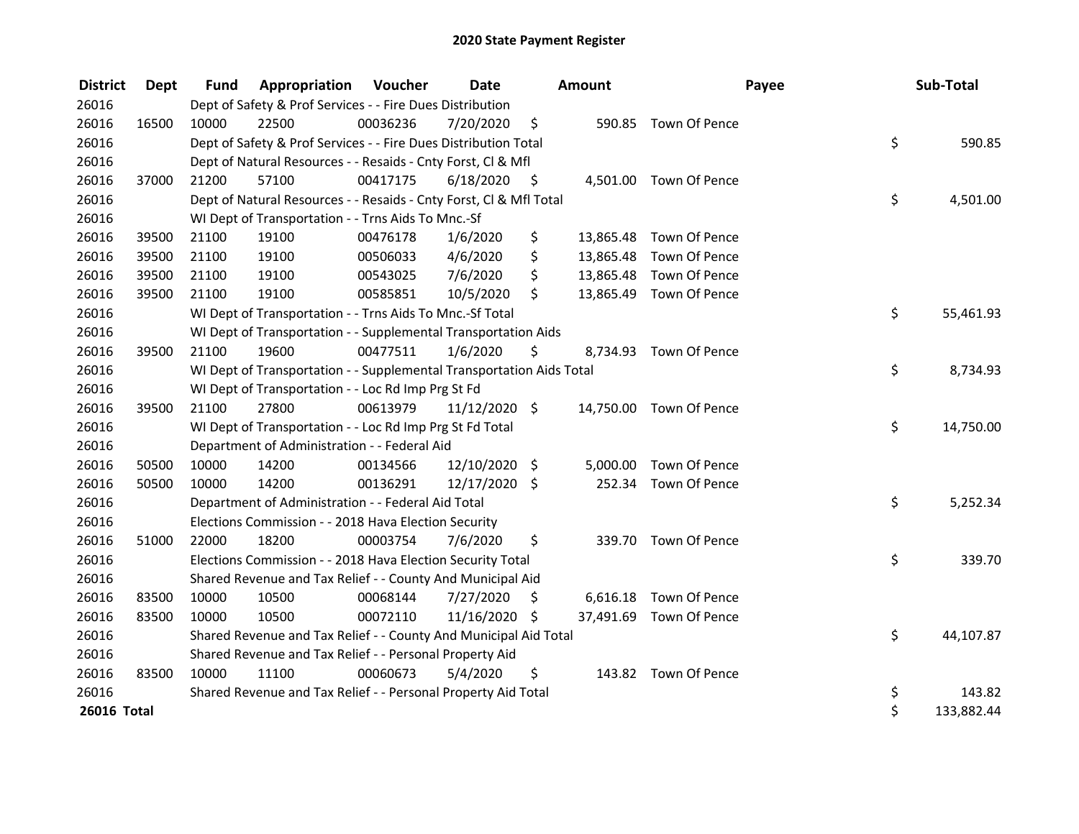| <b>District</b> | Dept  | <b>Fund</b> | Appropriation                                                        | Voucher  | Date          |      | Amount    |                         | Payee | Sub-Total  |
|-----------------|-------|-------------|----------------------------------------------------------------------|----------|---------------|------|-----------|-------------------------|-------|------------|
| 26016           |       |             | Dept of Safety & Prof Services - - Fire Dues Distribution            |          |               |      |           |                         |       |            |
| 26016           | 16500 | 10000       | 22500                                                                | 00036236 | 7/20/2020     | \$   |           | 590.85 Town Of Pence    |       |            |
| 26016           |       |             | Dept of Safety & Prof Services - - Fire Dues Distribution Total      |          |               |      |           |                         | \$    | 590.85     |
| 26016           |       |             | Dept of Natural Resources - - Resaids - Cnty Forst, CI & Mfl         |          |               |      |           |                         |       |            |
| 26016           | 37000 | 21200       | 57100                                                                | 00417175 | 6/18/2020     | - \$ |           | 4,501.00 Town Of Pence  |       |            |
| 26016           |       |             | Dept of Natural Resources - - Resaids - Cnty Forst, CI & Mfl Total   |          |               |      |           |                         | \$    | 4,501.00   |
| 26016           |       |             | WI Dept of Transportation - - Trns Aids To Mnc.-Sf                   |          |               |      |           |                         |       |            |
| 26016           | 39500 | 21100       | 19100                                                                | 00476178 | 1/6/2020      | \$   | 13,865.48 | Town Of Pence           |       |            |
| 26016           | 39500 | 21100       | 19100                                                                | 00506033 | 4/6/2020      | \$   |           | 13,865.48 Town Of Pence |       |            |
| 26016           | 39500 | 21100       | 19100                                                                | 00543025 | 7/6/2020      | \$   |           | 13,865.48 Town Of Pence |       |            |
| 26016           | 39500 | 21100       | 19100                                                                | 00585851 | 10/5/2020     | \$   |           | 13,865.49 Town Of Pence |       |            |
| 26016           |       |             | WI Dept of Transportation - - Trns Aids To Mnc.-Sf Total             |          |               |      |           |                         | \$    | 55,461.93  |
| 26016           |       |             | WI Dept of Transportation - - Supplemental Transportation Aids       |          |               |      |           |                         |       |            |
| 26016           | 39500 | 21100       | 19600                                                                | 00477511 | 1/6/2020      | \$   |           | 8,734.93 Town Of Pence  |       |            |
| 26016           |       |             | WI Dept of Transportation - - Supplemental Transportation Aids Total |          |               |      |           |                         | \$    | 8,734.93   |
| 26016           |       |             | WI Dept of Transportation - - Loc Rd Imp Prg St Fd                   |          |               |      |           |                         |       |            |
| 26016           | 39500 | 21100       | 27800                                                                | 00613979 | 11/12/2020 \$ |      |           | 14,750.00 Town Of Pence |       |            |
| 26016           |       |             | WI Dept of Transportation - - Loc Rd Imp Prg St Fd Total             |          |               |      |           |                         | \$    | 14,750.00  |
| 26016           |       |             | Department of Administration - - Federal Aid                         |          |               |      |           |                         |       |            |
| 26016           | 50500 | 10000       | 14200                                                                | 00134566 | 12/10/2020    | \$   | 5,000.00  | Town Of Pence           |       |            |
| 26016           | 50500 | 10000       | 14200                                                                | 00136291 | 12/17/2020 \$ |      |           | 252.34 Town Of Pence    |       |            |
| 26016           |       |             | Department of Administration - - Federal Aid Total                   |          |               |      |           |                         | \$    | 5,252.34   |
| 26016           |       |             | Elections Commission - - 2018 Hava Election Security                 |          |               |      |           |                         |       |            |
| 26016           | 51000 | 22000       | 18200                                                                | 00003754 | 7/6/2020      | \$   |           | 339.70 Town Of Pence    |       |            |
| 26016           |       |             | Elections Commission - - 2018 Hava Election Security Total           |          |               |      |           |                         | \$    | 339.70     |
| 26016           |       |             | Shared Revenue and Tax Relief - - County And Municipal Aid           |          |               |      |           |                         |       |            |
| 26016           | 83500 | 10000       | 10500                                                                | 00068144 | 7/27/2020     | \$   |           | 6,616.18 Town Of Pence  |       |            |
| 26016           | 83500 | 10000       | 10500                                                                | 00072110 | 11/16/2020 \$ |      |           | 37,491.69 Town Of Pence |       |            |
| 26016           |       |             | Shared Revenue and Tax Relief - - County And Municipal Aid Total     |          |               |      |           |                         | \$    | 44,107.87  |
| 26016           |       |             | Shared Revenue and Tax Relief - - Personal Property Aid              |          |               |      |           |                         |       |            |
| 26016           | 83500 | 10000       | 11100                                                                | 00060673 | 5/4/2020      | \$   |           | 143.82 Town Of Pence    |       |            |
| 26016           |       |             | Shared Revenue and Tax Relief - - Personal Property Aid Total        |          |               |      |           |                         | \$    | 143.82     |
| 26016 Total     |       |             |                                                                      |          |               |      |           |                         | \$    | 133,882.44 |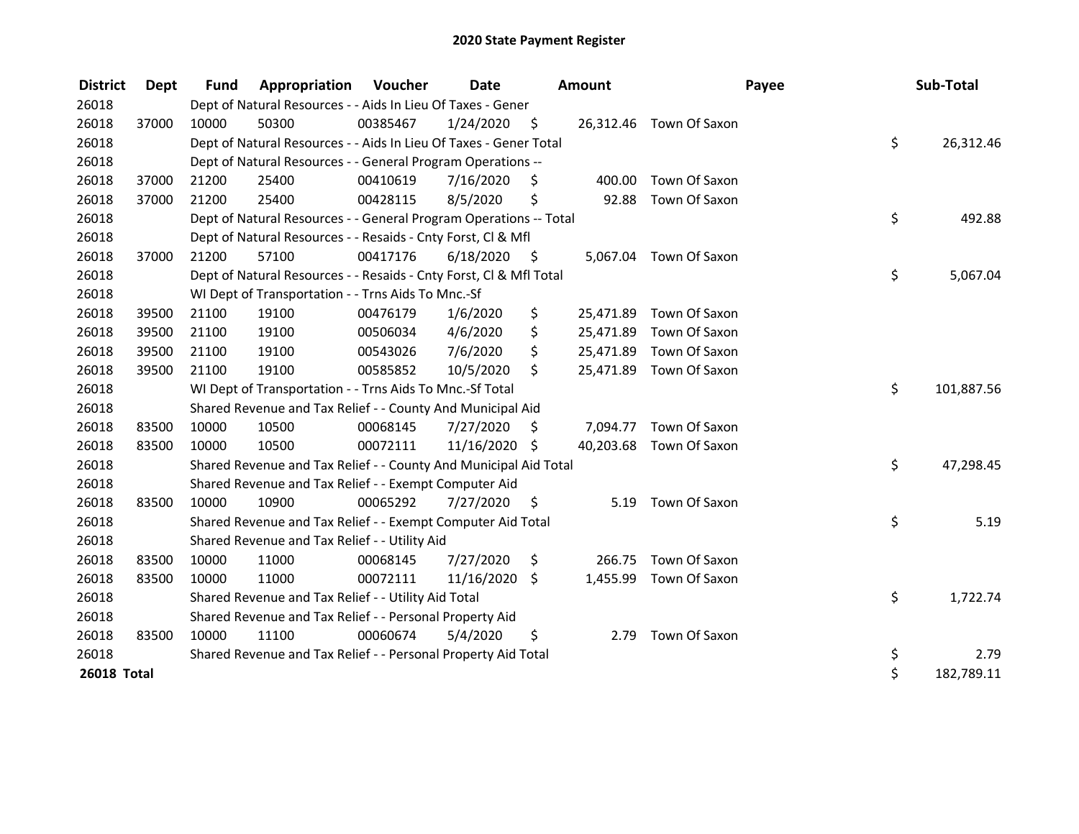| <b>District</b>    | <b>Dept</b> | <b>Fund</b> | Appropriation                                                      | Voucher  | <b>Date</b>   |                    | <b>Amount</b> |                         | Payee | Sub-Total  |
|--------------------|-------------|-------------|--------------------------------------------------------------------|----------|---------------|--------------------|---------------|-------------------------|-------|------------|
| 26018              |             |             | Dept of Natural Resources - - Aids In Lieu Of Taxes - Gener        |          |               |                    |               |                         |       |            |
| 26018              | 37000       | 10000       | 50300                                                              | 00385467 | 1/24/2020     | $\ddot{\varsigma}$ |               | 26,312.46 Town Of Saxon |       |            |
| 26018              |             |             | Dept of Natural Resources - - Aids In Lieu Of Taxes - Gener Total  |          |               |                    |               |                         | \$    | 26,312.46  |
| 26018              |             |             | Dept of Natural Resources - - General Program Operations --        |          |               |                    |               |                         |       |            |
| 26018              | 37000       | 21200       | 25400                                                              | 00410619 | 7/16/2020     | Ŝ.                 | 400.00        | Town Of Saxon           |       |            |
| 26018              | 37000       | 21200       | 25400                                                              | 00428115 | 8/5/2020      | \$                 | 92.88         | Town Of Saxon           |       |            |
| 26018              |             |             | Dept of Natural Resources - - General Program Operations -- Total  |          |               |                    |               |                         | \$    | 492.88     |
| 26018              |             |             | Dept of Natural Resources - - Resaids - Cnty Forst, Cl & Mfl       |          |               |                    |               |                         |       |            |
| 26018              | 37000       | 21200       | 57100                                                              | 00417176 | 6/18/2020     | - \$               |               | 5,067.04 Town Of Saxon  |       |            |
| 26018              |             |             | Dept of Natural Resources - - Resaids - Cnty Forst, Cl & Mfl Total |          |               |                    |               |                         | \$    | 5,067.04   |
| 26018              |             |             | WI Dept of Transportation - - Trns Aids To Mnc.-Sf                 |          |               |                    |               |                         |       |            |
| 26018              | 39500       | 21100       | 19100                                                              | 00476179 | 1/6/2020      | \$                 |               | 25,471.89 Town Of Saxon |       |            |
| 26018              | 39500       | 21100       | 19100                                                              | 00506034 | 4/6/2020      | \$                 |               | 25,471.89 Town Of Saxon |       |            |
| 26018              | 39500       | 21100       | 19100                                                              | 00543026 | 7/6/2020      | \$                 |               | 25,471.89 Town Of Saxon |       |            |
| 26018              | 39500       | 21100       | 19100                                                              | 00585852 | 10/5/2020     | \$                 |               | 25,471.89 Town Of Saxon |       |            |
| 26018              |             |             | WI Dept of Transportation - - Trns Aids To Mnc.-Sf Total           |          |               |                    |               |                         | \$    | 101,887.56 |
| 26018              |             |             | Shared Revenue and Tax Relief - - County And Municipal Aid         |          |               |                    |               |                         |       |            |
| 26018              | 83500       | 10000       | 10500                                                              | 00068145 | 7/27/2020     | S.                 |               | 7,094.77 Town Of Saxon  |       |            |
| 26018              | 83500       | 10000       | 10500                                                              | 00072111 | 11/16/2020 \$ |                    |               | 40,203.68 Town Of Saxon |       |            |
| 26018              |             |             | Shared Revenue and Tax Relief - - County And Municipal Aid Total   |          |               |                    |               |                         | \$    | 47,298.45  |
| 26018              |             |             | Shared Revenue and Tax Relief - - Exempt Computer Aid              |          |               |                    |               |                         |       |            |
| 26018              | 83500       | 10000       | 10900                                                              | 00065292 | 7/27/2020     | $\zeta$            |               | 5.19 Town Of Saxon      |       |            |
| 26018              |             |             | Shared Revenue and Tax Relief - - Exempt Computer Aid Total        |          |               |                    |               |                         | \$    | 5.19       |
| 26018              |             |             | Shared Revenue and Tax Relief - - Utility Aid                      |          |               |                    |               |                         |       |            |
| 26018              | 83500       | 10000       | 11000                                                              | 00068145 | 7/27/2020     | \$                 |               | 266.75 Town Of Saxon    |       |            |
| 26018              | 83500       | 10000       | 11000                                                              | 00072111 | 11/16/2020 \$ |                    |               | 1,455.99 Town Of Saxon  |       |            |
| 26018              |             |             | Shared Revenue and Tax Relief - - Utility Aid Total                |          |               |                    |               |                         | \$    | 1,722.74   |
| 26018              |             |             | Shared Revenue and Tax Relief - - Personal Property Aid            |          |               |                    |               |                         |       |            |
| 26018              | 83500       | 10000       | 11100                                                              | 00060674 | 5/4/2020      | \$                 |               | 2.79 Town Of Saxon      |       |            |
| 26018              |             |             | Shared Revenue and Tax Relief - - Personal Property Aid Total      |          |               |                    |               |                         | \$    | 2.79       |
| <b>26018 Total</b> |             |             |                                                                    |          |               |                    |               |                         | \$    | 182,789.11 |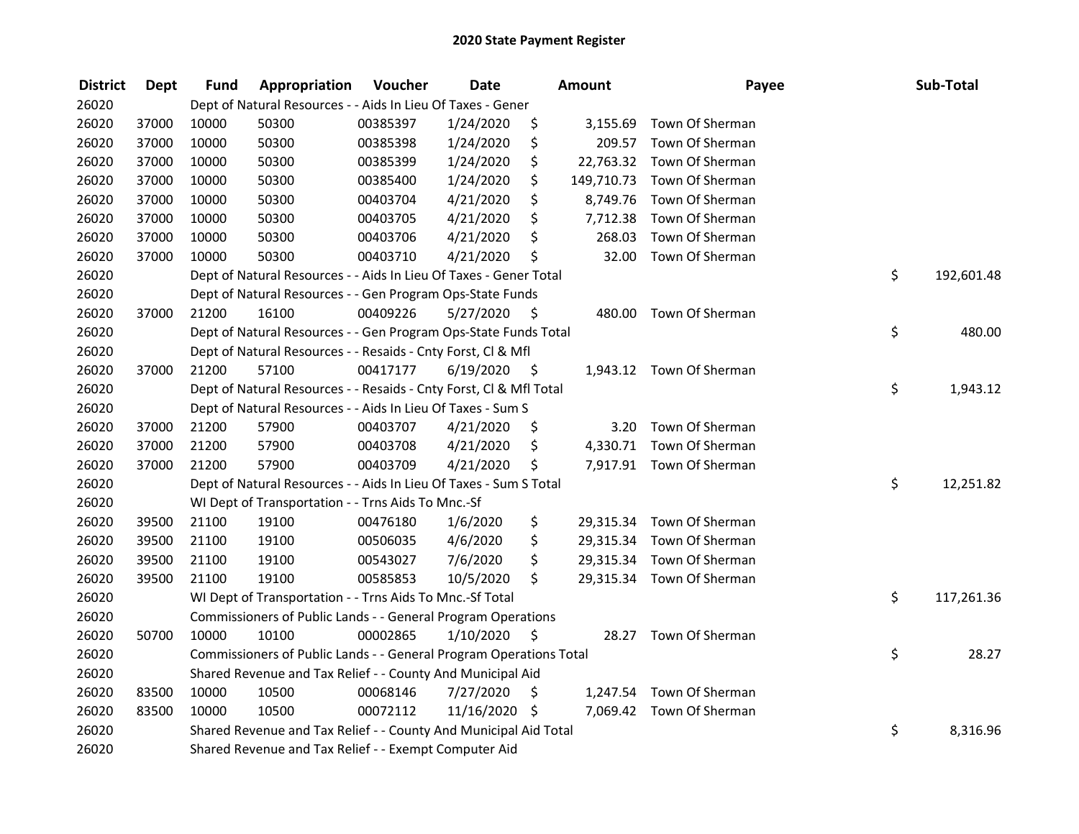| <b>District</b> | <b>Dept</b> | <b>Fund</b> | Appropriation                                                      | Voucher  | <b>Date</b>   |      | Amount     | Payee                     | Sub-Total        |
|-----------------|-------------|-------------|--------------------------------------------------------------------|----------|---------------|------|------------|---------------------------|------------------|
| 26020           |             |             | Dept of Natural Resources - - Aids In Lieu Of Taxes - Gener        |          |               |      |            |                           |                  |
| 26020           | 37000       | 10000       | 50300                                                              | 00385397 | 1/24/2020     | \$   | 3,155.69   | Town Of Sherman           |                  |
| 26020           | 37000       | 10000       | 50300                                                              | 00385398 | 1/24/2020     | \$   |            | 209.57 Town Of Sherman    |                  |
| 26020           | 37000       | 10000       | 50300                                                              | 00385399 | 1/24/2020     | \$   | 22,763.32  | Town Of Sherman           |                  |
| 26020           | 37000       | 10000       | 50300                                                              | 00385400 | 1/24/2020     | \$   | 149,710.73 | Town Of Sherman           |                  |
| 26020           | 37000       | 10000       | 50300                                                              | 00403704 | 4/21/2020     | \$   | 8,749.76   | Town Of Sherman           |                  |
| 26020           | 37000       | 10000       | 50300                                                              | 00403705 | 4/21/2020     | \$   | 7,712.38   | Town Of Sherman           |                  |
| 26020           | 37000       | 10000       | 50300                                                              | 00403706 | 4/21/2020     | \$   | 268.03     | Town Of Sherman           |                  |
| 26020           | 37000       | 10000       | 50300                                                              | 00403710 | 4/21/2020     | \$   | 32.00      | Town Of Sherman           |                  |
| 26020           |             |             | Dept of Natural Resources - - Aids In Lieu Of Taxes - Gener Total  |          |               |      |            |                           | \$<br>192,601.48 |
| 26020           |             |             | Dept of Natural Resources - - Gen Program Ops-State Funds          |          |               |      |            |                           |                  |
| 26020           | 37000       | 21200       | 16100                                                              | 00409226 | 5/27/2020     | -S   | 480.00     | Town Of Sherman           |                  |
| 26020           |             |             | Dept of Natural Resources - - Gen Program Ops-State Funds Total    |          |               |      |            |                           | \$<br>480.00     |
| 26020           |             |             | Dept of Natural Resources - - Resaids - Cnty Forst, Cl & Mfl       |          |               |      |            |                           |                  |
| 26020           | 37000       | 21200       | 57100                                                              | 00417177 | 6/19/2020     | - \$ |            | 1,943.12 Town Of Sherman  |                  |
| 26020           |             |             | Dept of Natural Resources - - Resaids - Cnty Forst, Cl & Mfl Total |          |               |      |            |                           | \$<br>1,943.12   |
| 26020           |             |             | Dept of Natural Resources - - Aids In Lieu Of Taxes - Sum S        |          |               |      |            |                           |                  |
| 26020           | 37000       | 21200       | 57900                                                              | 00403707 | 4/21/2020     | \$   | 3.20       | Town Of Sherman           |                  |
| 26020           | 37000       | 21200       | 57900                                                              | 00403708 | 4/21/2020     | \$   |            | 4,330.71 Town Of Sherman  |                  |
| 26020           | 37000       | 21200       | 57900                                                              | 00403709 | 4/21/2020     | \$   |            | 7,917.91 Town Of Sherman  |                  |
| 26020           |             |             | Dept of Natural Resources - - Aids In Lieu Of Taxes - Sum S Total  |          |               |      |            |                           | \$<br>12,251.82  |
| 26020           |             |             | WI Dept of Transportation - - Trns Aids To Mnc.-Sf                 |          |               |      |            |                           |                  |
| 26020           | 39500       | 21100       | 19100                                                              | 00476180 | 1/6/2020      | \$   |            | 29,315.34 Town Of Sherman |                  |
| 26020           | 39500       | 21100       | 19100                                                              | 00506035 | 4/6/2020      | \$   |            | 29,315.34 Town Of Sherman |                  |
| 26020           | 39500       | 21100       | 19100                                                              | 00543027 | 7/6/2020      | \$   |            | 29,315.34 Town Of Sherman |                  |
| 26020           | 39500       | 21100       | 19100                                                              | 00585853 | 10/5/2020     | \$   |            | 29,315.34 Town Of Sherman |                  |
| 26020           |             |             | WI Dept of Transportation - - Trns Aids To Mnc.-Sf Total           |          |               |      |            |                           | \$<br>117,261.36 |
| 26020           |             |             | Commissioners of Public Lands - - General Program Operations       |          |               |      |            |                           |                  |
| 26020           | 50700       | 10000       | 10100                                                              | 00002865 | 1/10/2020     | \$   | 28.27      | Town Of Sherman           |                  |
| 26020           |             |             | Commissioners of Public Lands - - General Program Operations Total |          |               |      |            |                           | \$<br>28.27      |
| 26020           |             |             | Shared Revenue and Tax Relief - - County And Municipal Aid         |          |               |      |            |                           |                  |
| 26020           | 83500       | 10000       | 10500                                                              | 00068146 | 7/27/2020     | \$   |            | 1,247.54 Town Of Sherman  |                  |
| 26020           | 83500       | 10000       | 10500                                                              | 00072112 | 11/16/2020 \$ |      |            | 7,069.42 Town Of Sherman  |                  |
| 26020           |             |             | Shared Revenue and Tax Relief - - County And Municipal Aid Total   |          |               |      |            |                           | \$<br>8,316.96   |
| 26020           |             |             | Shared Revenue and Tax Relief - - Exempt Computer Aid              |          |               |      |            |                           |                  |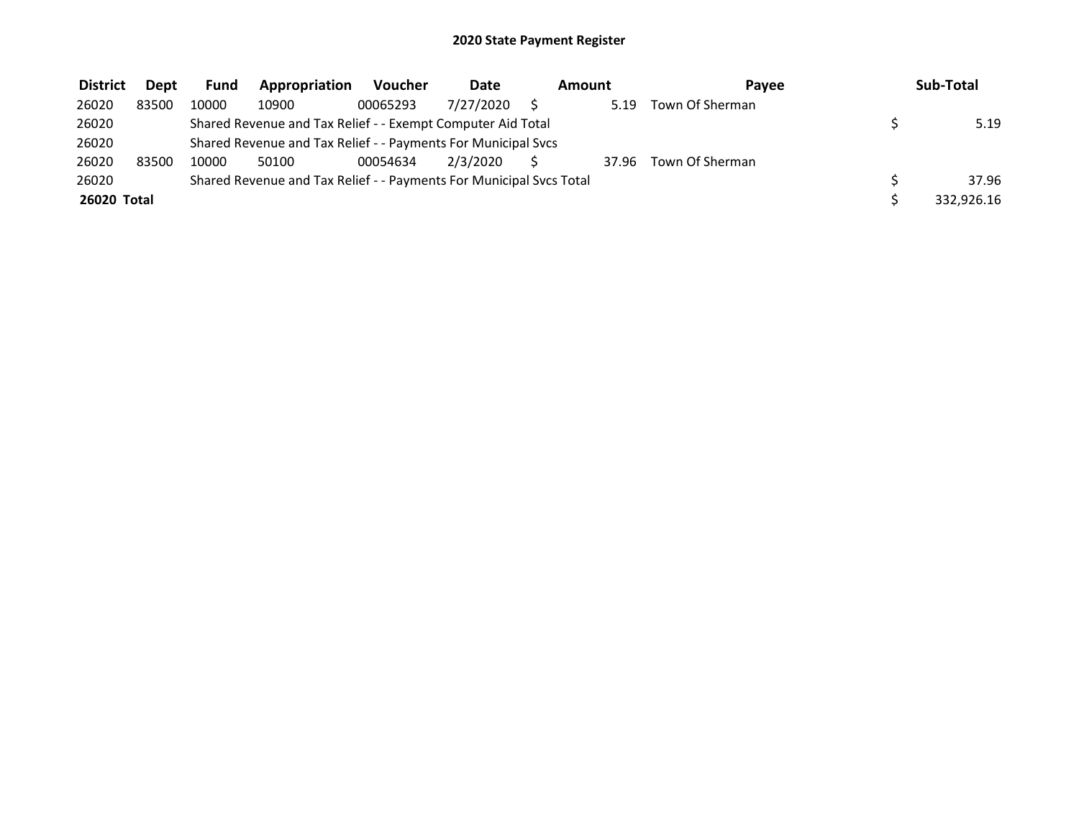| <b>District</b> | <b>Dept</b> | <b>Fund</b> | Appropriation                                                       | <b>Voucher</b> | Date      | Amount |       | Pavee           | Sub-Total  |
|-----------------|-------------|-------------|---------------------------------------------------------------------|----------------|-----------|--------|-------|-----------------|------------|
| 26020           | 83500       | 10000       | 10900                                                               | 00065293       | 7/27/2020 |        | 5.19  | Town Of Sherman |            |
| 26020           |             |             | Shared Revenue and Tax Relief - - Exempt Computer Aid Total         |                |           |        |       |                 | 5.19       |
| 26020           |             |             | Shared Revenue and Tax Relief - - Payments For Municipal Svcs       |                |           |        |       |                 |            |
| 26020           | 83500       | 10000       | 50100                                                               | 00054634       | 2/3/2020  |        | 37.96 | Town Of Sherman |            |
| 26020           |             |             | Shared Revenue and Tax Relief - - Payments For Municipal Svcs Total |                |           |        |       |                 | 37.96      |
| 26020 Total     |             |             |                                                                     |                |           |        |       |                 | 332,926.16 |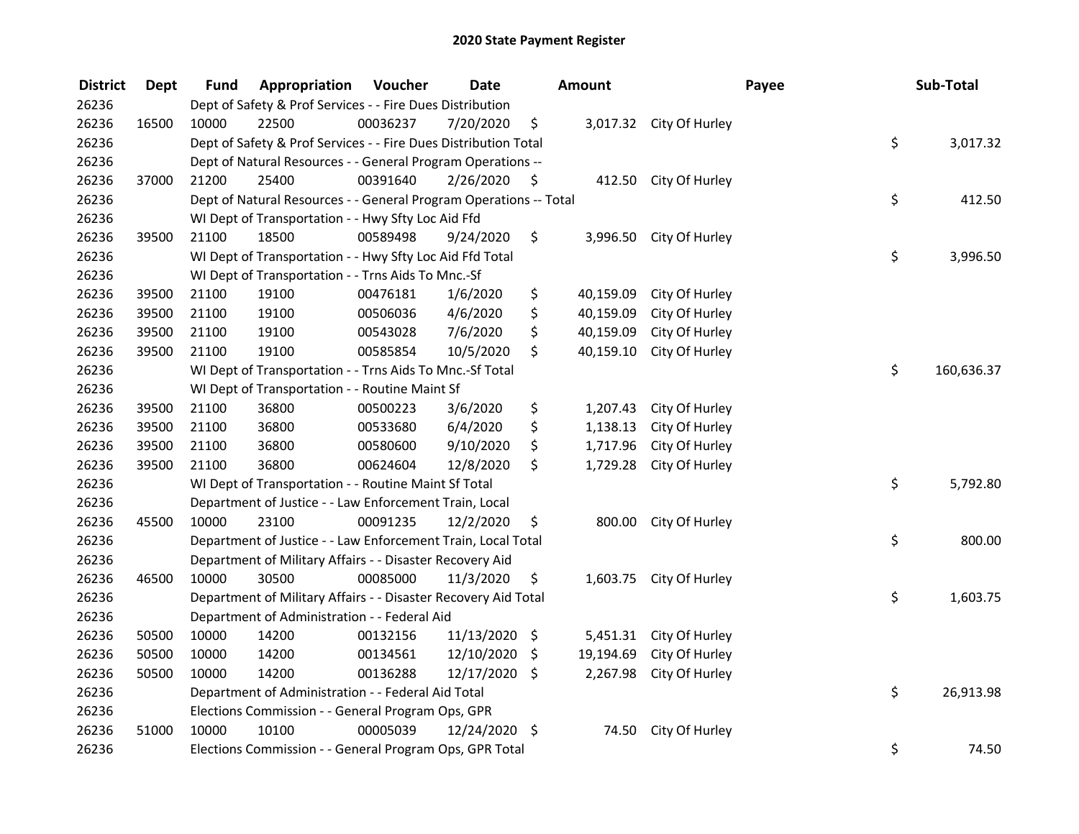| <b>District</b> | <b>Dept</b> | Fund                                                                  | Appropriation                                                     | Voucher  | <b>Date</b>     |    | Amount    |                         | Payee  |          | Sub-Total  |
|-----------------|-------------|-----------------------------------------------------------------------|-------------------------------------------------------------------|----------|-----------------|----|-----------|-------------------------|--------|----------|------------|
| 26236           |             | Dept of Safety & Prof Services - - Fire Dues Distribution             |                                                                   |          |                 |    |           |                         |        |          |            |
| 26236           | 16500       | 10000                                                                 | 22500                                                             | 00036237 | 7/20/2020       | \$ |           | 3,017.32 City Of Hurley |        |          |            |
| 26236           |             | \$<br>Dept of Safety & Prof Services - - Fire Dues Distribution Total |                                                                   |          |                 |    |           |                         |        | 3,017.32 |            |
| 26236           |             | Dept of Natural Resources - - General Program Operations --           |                                                                   |          |                 |    |           |                         |        |          |            |
| 26236           | 37000       | 21200                                                                 | 25400                                                             | 00391640 | 2/26/2020       | \$ |           | 412.50 City Of Hurley   |        |          |            |
| 26236           |             |                                                                       | Dept of Natural Resources - - General Program Operations -- Total |          |                 |    |           |                         |        | \$       | 412.50     |
| 26236           |             |                                                                       | WI Dept of Transportation - - Hwy Sfty Loc Aid Ffd                |          |                 |    |           |                         |        |          |            |
| 26236           | 39500       | 21100                                                                 | 18500                                                             | 00589498 | 9/24/2020       | \$ |           | 3,996.50 City Of Hurley |        |          |            |
| 26236           |             |                                                                       | WI Dept of Transportation - - Hwy Sfty Loc Aid Ffd Total          |          |                 |    |           |                         |        | \$       | 3,996.50   |
| 26236           |             |                                                                       | WI Dept of Transportation - - Trns Aids To Mnc.-Sf                |          |                 |    |           |                         |        |          |            |
| 26236           | 39500       | 21100                                                                 | 19100                                                             | 00476181 | 1/6/2020        | \$ | 40,159.09 | City Of Hurley          |        |          |            |
| 26236           | 39500       | 21100                                                                 | 19100                                                             | 00506036 | 4/6/2020        | \$ | 40,159.09 | City Of Hurley          |        |          |            |
| 26236           | 39500       | 21100                                                                 | 19100                                                             | 00543028 | 7/6/2020        | \$ | 40,159.09 | City Of Hurley          |        |          |            |
| 26236           | 39500       | 21100                                                                 | 19100                                                             | 00585854 | 10/5/2020       | \$ | 40,159.10 | City Of Hurley          |        |          |            |
| 26236           |             |                                                                       | WI Dept of Transportation - - Trns Aids To Mnc.-Sf Total          |          |                 |    |           |                         |        | \$       | 160,636.37 |
| 26236           |             |                                                                       | WI Dept of Transportation - - Routine Maint Sf                    |          |                 |    |           |                         |        |          |            |
| 26236           | 39500       | 21100                                                                 | 36800                                                             | 00500223 | 3/6/2020        | \$ | 1,207.43  | City Of Hurley          |        |          |            |
| 26236           | 39500       | 21100                                                                 | 36800                                                             | 00533680 | 6/4/2020        | \$ | 1,138.13  | City Of Hurley          |        |          |            |
| 26236           | 39500       | 21100                                                                 | 36800                                                             | 00580600 | 9/10/2020       | \$ | 1,717.96  | City Of Hurley          |        |          |            |
| 26236           | 39500       | 21100                                                                 | 36800                                                             | 00624604 | 12/8/2020       | \$ | 1,729.28  | City Of Hurley          |        |          |            |
| 26236           |             |                                                                       | WI Dept of Transportation - - Routine Maint Sf Total              |          |                 |    |           |                         |        | \$       | 5,792.80   |
| 26236           |             | Department of Justice - - Law Enforcement Train, Local                |                                                                   |          |                 |    |           |                         |        |          |            |
| 26236           | 45500       | 10000                                                                 | 23100                                                             | 00091235 | 12/2/2020       | \$ | 800.00    | City Of Hurley          |        |          |            |
| 26236           |             | \$<br>Department of Justice - - Law Enforcement Train, Local Total    |                                                                   |          |                 |    |           |                         | 800.00 |          |            |
| 26236           |             | Department of Military Affairs - - Disaster Recovery Aid              |                                                                   |          |                 |    |           |                         |        |          |            |
| 26236           | 46500       | 10000                                                                 | 30500                                                             | 00085000 | 11/3/2020       | \$ |           | 1,603.75 City Of Hurley |        |          |            |
| 26236           |             | Department of Military Affairs - - Disaster Recovery Aid Total        |                                                                   |          |                 |    |           |                         |        | \$       | 1,603.75   |
| 26236           |             | Department of Administration - - Federal Aid                          |                                                                   |          |                 |    |           |                         |        |          |            |
| 26236           | 50500       | 10000                                                                 | 14200                                                             | 00132156 | $11/13/2020$ \$ |    | 5,451.31  | City Of Hurley          |        |          |            |
| 26236           | 50500       | 10000                                                                 | 14200                                                             | 00134561 | 12/10/2020      | \$ | 19,194.69 | City Of Hurley          |        |          |            |
| 26236           | 50500       | 10000                                                                 | 14200                                                             | 00136288 | 12/17/2020      | \$ | 2,267.98  | City Of Hurley          |        |          |            |
| 26236           |             | Department of Administration - - Federal Aid Total                    |                                                                   |          |                 |    |           |                         |        | \$       | 26,913.98  |
| 26236           |             | Elections Commission - - General Program Ops, GPR                     |                                                                   |          |                 |    |           |                         |        |          |            |
| 26236           | 51000       | 10000                                                                 | 10100                                                             | 00005039 | 12/24/2020 \$   |    | 74.50     | City Of Hurley          |        |          |            |
| 26236           |             |                                                                       | Elections Commission - - General Program Ops, GPR Total           |          |                 |    |           |                         |        | \$       | 74.50      |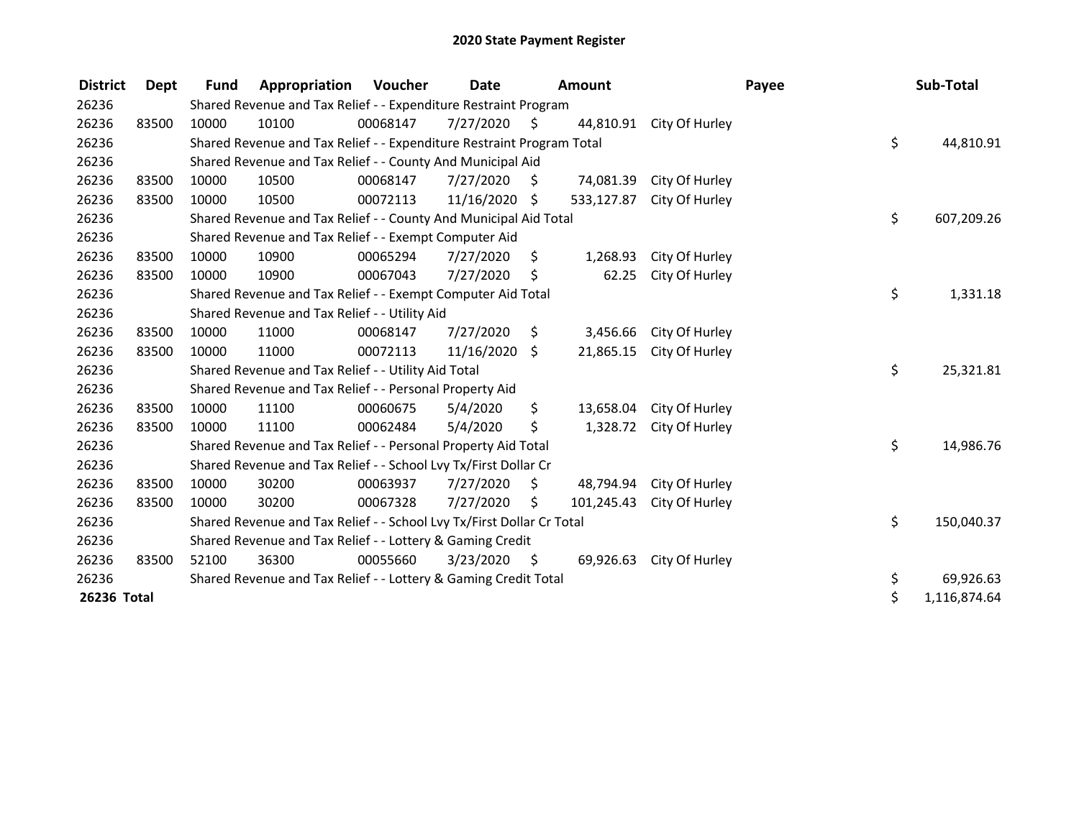| <b>District</b> | Dept  | <b>Fund</b>                                                           | Appropriation                                                         | Voucher  | Date          |      | Amount     |                | Payee |              | Sub-Total  |
|-----------------|-------|-----------------------------------------------------------------------|-----------------------------------------------------------------------|----------|---------------|------|------------|----------------|-------|--------------|------------|
| 26236           |       | Shared Revenue and Tax Relief - - Expenditure Restraint Program       |                                                                       |          |               |      |            |                |       |              |            |
| 26236           | 83500 | 10000                                                                 | 10100                                                                 | 00068147 | 7/27/2020     | - \$ | 44,810.91  | City Of Hurley |       |              |            |
| 26236           |       |                                                                       | Shared Revenue and Tax Relief - - Expenditure Restraint Program Total |          |               |      |            |                |       | \$           | 44,810.91  |
| 26236           |       | Shared Revenue and Tax Relief - - County And Municipal Aid            |                                                                       |          |               |      |            |                |       |              |            |
| 26236           | 83500 | 10000                                                                 | 10500                                                                 | 00068147 | 7/27/2020     | \$   | 74,081.39  | City Of Hurley |       |              |            |
| 26236           | 83500 | 10000                                                                 | 10500                                                                 | 00072113 | 11/16/2020 \$ |      | 533,127.87 | City Of Hurley |       |              |            |
| 26236           |       |                                                                       | Shared Revenue and Tax Relief - - County And Municipal Aid Total      |          |               |      |            |                |       | \$           | 607,209.26 |
| 26236           |       |                                                                       | Shared Revenue and Tax Relief - - Exempt Computer Aid                 |          |               |      |            |                |       |              |            |
| 26236           | 83500 | 10000                                                                 | 10900                                                                 | 00065294 | 7/27/2020     | \$   | 1,268.93   | City Of Hurley |       |              |            |
| 26236           | 83500 | 10000                                                                 | 10900                                                                 | 00067043 | 7/27/2020     | \$   | 62.25      | City Of Hurley |       |              |            |
| 26236           |       |                                                                       | Shared Revenue and Tax Relief - - Exempt Computer Aid Total           |          |               |      |            |                |       | \$           | 1,331.18   |
| 26236           |       |                                                                       | Shared Revenue and Tax Relief - - Utility Aid                         |          |               |      |            |                |       |              |            |
| 26236           | 83500 | 10000                                                                 | 11000                                                                 | 00068147 | 7/27/2020     | \$   | 3,456.66   | City Of Hurley |       |              |            |
| 26236           | 83500 | 10000                                                                 | 11000                                                                 | 00072113 | 11/16/2020    | \$   | 21,865.15  | City Of Hurley |       |              |            |
| 26236           |       | Shared Revenue and Tax Relief - - Utility Aid Total                   |                                                                       |          |               |      |            |                |       | \$           | 25,321.81  |
| 26236           |       | Shared Revenue and Tax Relief - - Personal Property Aid               |                                                                       |          |               |      |            |                |       |              |            |
| 26236           | 83500 | 10000                                                                 | 11100                                                                 | 00060675 | 5/4/2020      | \$   | 13,658.04  | City Of Hurley |       |              |            |
| 26236           | 83500 | 10000                                                                 | 11100                                                                 | 00062484 | 5/4/2020      | \$   | 1,328.72   | City Of Hurley |       |              |            |
| 26236           |       | Shared Revenue and Tax Relief - - Personal Property Aid Total         |                                                                       |          |               |      |            |                |       | \$           | 14,986.76  |
| 26236           |       | Shared Revenue and Tax Relief - - School Lvy Tx/First Dollar Cr       |                                                                       |          |               |      |            |                |       |              |            |
| 26236           | 83500 | 10000                                                                 | 30200                                                                 | 00063937 | 7/27/2020     | \$   | 48,794.94  | City Of Hurley |       |              |            |
| 26236           | 83500 | 10000                                                                 | 30200                                                                 | 00067328 | 7/27/2020     | Ś.   | 101,245.43 | City Of Hurley |       |              |            |
| 26236           |       | Shared Revenue and Tax Relief - - School Lvy Tx/First Dollar Cr Total |                                                                       |          |               |      |            |                |       | \$           | 150,040.37 |
| 26236           |       | Shared Revenue and Tax Relief - - Lottery & Gaming Credit             |                                                                       |          |               |      |            |                |       |              |            |
| 26236           | 83500 | 52100                                                                 | 36300                                                                 | 00055660 | 3/23/2020     | \$   | 69,926.63  | City Of Hurley |       |              |            |
| 26236           |       | Shared Revenue and Tax Relief - - Lottery & Gaming Credit Total       |                                                                       |          |               |      |            |                | \$    | 69,926.63    |            |
| 26236 Total     |       |                                                                       |                                                                       |          |               |      |            |                | \$    | 1,116,874.64 |            |